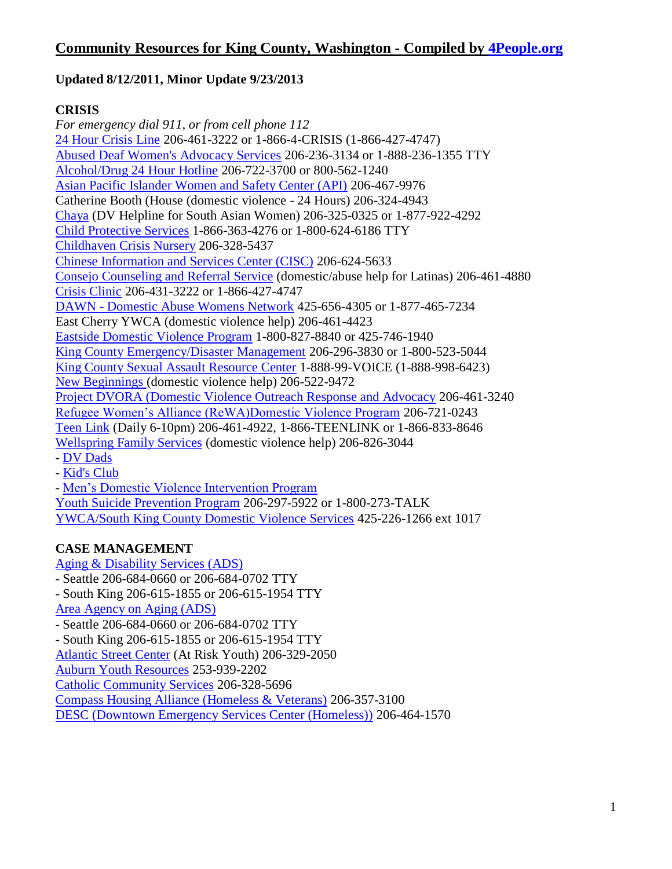## **Updated 8/12/2011, Minor Update 9/23/2013**

## **CRISIS**

*For emergency dial 911, or from cell phone 112* [24 Hour Crisis Line](http://www.crisisclinic.org/) 206-461-3222 or 1-866-4-CRISIS (1-866-427-4747) [Abused Deaf Women's Advocacy Services](http://www.adwas.org/) 206-236-3134 or 1-888-236-1355 TTY [Alcohol/Drug 24 Hour Hotline](http://www.adhl.org/) 206-722-3700 or 800-562-1240 [Asian Pacific Islander Women and Safety Center \(API\)](http://www.apisafetycenter.org/) 206-467-9976 Catherine Booth (House (domestic violence - 24 Hours) 206-324-4943 [Chaya](http://www.chayaseattle.org/) (DV Helpline for South Asian Women) 206-325-0325 or 1-877-922-4292 [Child Protective Services](http://www.dshs.wa.gov/ca/safety/abuseReport.asp) 1-866-363-4276 or 1-800-624-6186 TTY [Childhaven Crisis Nursery](http://www.childhaven.org/new/next.php?id=405) 206-328-5437 [Chinese Information and Services Center \(CISC\)](http://www.cisc-seattle.org/) 206-624-5633 [Consejo Counseling and Referral Service](http://consejo-wa.org/domestic.html) (domestic/abuse help for Latinas) 206-461-4880 [Crisis Clinic](http://www.crisisclinic.org/) 206-431-3222 or 1-866-427-4747 DAWN - [Domestic Abuse Womens Network](http://www.dawnonline.org/) 425-656-4305 or 1-877-465-7234 East Cherry YWCA (domestic violence help) 206-461-4423 [Eastside Domestic Violence Program](http://www.edvp.org/) 1-800-827-8840 or 425-746-1940 [King County Emergency/Disaster Management](http://www.kingcounty.gov/safety/prepare.aspx) 206-296-3830 or 1-800-523-5044 [King County Sexual Assault Resource Center](http://www.kcsarc.org/) 1-888-99-VOICE (1-888-998-6423) [New Beginnings \(](http://www.newbegin.org/)domestic violence help) 206-522-9472 [Project DVORA \(Domestic Violence Outreach Response and Advocacy](http://www.jfsseattle.org/dv.html) 206-461-3240 [Refugee Women's Alliance \(ReWA\)Domestic Violence Program](http://www.rewa.org/index.php?q=node/8) 206-721-0243 [Teen Link](http://www.866teenlink.org/) (Daily 6-10pm) 206-461-4922, 1-866-TEENLINK or 1-866-833-8646 [Wellspring Family Services](http://www.family-services.org/get_help/domestic_violence/index.php) (domestic violence help) 206-826-3044 - [DV Dads](http://www.family-services.org/get_help/domestic_violence/dv_dads.php) - [Kid's Club](http://www.family-services.org/get_help/domestic_violence/kids_club.php) - [Men's Domestic Violence Intervention Program](http://www.family-services.org/get_help/domestic_violence/mens_intervention.php) [Youth Suicide Prevention Program](http://www.yspp.org/) 206-297-5922 or 1-800-273-TALK

[YWCA/South King County Domestic Violence Services](https://www.ywcaworks.org/NetCommunity/Page.aspx?pid=483) 425-226-1266 ext 1017

### **CASE MANAGEMENT**

[Aging & Disability Services \(ADS\)](http://www.agingkingcounty.org/)

- Seattle 206-684-0660 or 206-684-0702 TTY
- South King 206-615-1855 or 206-615-1954 TTY

[Area Agency on Aging \(ADS\)](http://www.agingkingcounty.org/)

- Seattle 206-684-0660 or 206-684-0702 TTY

- South King 206-615-1855 or 206-615-1954 TTY

[Atlantic Street Center](http://www.atlanticstreet.org/) (At Risk Youth) 206-329-2050

[Auburn Youth Resources](http://www.ayr4kids.org/) 253-939-2202

[Catholic Community Services](http://ccsww.convio.net/) 206-328-5696

[Compass Housing Alliance \(Homeless & Veterans\)](http://www.compasscenter.org/) 206-357-3100

[DESC \(Downtown Emergency Services Center \(Homeless\)\)](http://www.desc.org/) 206-464-1570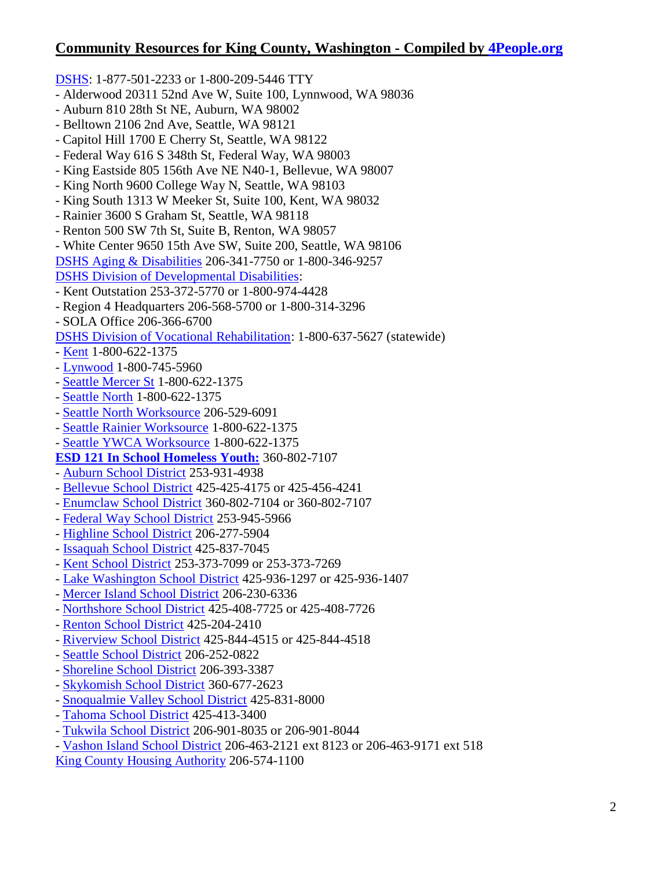[DSHS:](http://www.dshs.wa.gov/) 1-877-501-2233 or 1-800-209-5446 TTY

- Alderwood 20311 52nd Ave W, Suite 100, Lynnwood, WA 98036
- Auburn 810 28th St NE, Auburn, WA 98002
- Belltown 2106 2nd Ave, Seattle, WA 98121
- Capitol Hill 1700 E Cherry St, Seattle, WA 98122
- Federal Way 616 S 348th St, Federal Way, WA 98003
- King Eastside 805 156th Ave NE N40-1, Bellevue, WA 98007
- King North 9600 College Way N, Seattle, WA 98103
- King South 1313 W Meeker St, Suite 100, Kent, WA 98032
- Rainier 3600 S Graham St, Seattle, WA 98118
- Renton 500 SW 7th St, Suite B, Renton, WA 98057
- White Center 9650 15th Ave SW, Suite 200, Seattle, WA 98106
- [DSHS Aging & Disabilities](http://www.aasa.dshs.wa.gov/) 206-341-7750 or 1-800-346-9257

[DSHS Division of Developmental Disabilities:](http://www.dshs.wa.gov/ddd/)

- Kent Outstation 253-372-5770 or 1-800-974-4428
- Region 4 Headquarters 206-568-5700 or 1-800-314-3296
- SOLA Office 206-366-6700

[DSHS Division of Vocational Rehabilitation:](http://www.dshs.wa.gov/dvr/) 1-800-637-5627 (statewide)

- [Kent](http://www.dshs.wa.gov/dvr/ContactUs/kent.aspx) 1-800-622-1375
- [Lynwood](http://www.dshs.wa.gov/dvr/ContactUs/lynnwood.aspx) 1-800-745-5960
- [Seattle Mercer St](http://www.dshs.wa.gov/dvr/ContactUs/seattlemercer.aspx) 1-800-622-1375
- [Seattle North](http://www.dshs.wa.gov/dvr/ContactUs/northseattle.aspx) 1-800-622-1375
- [Seattle North Worksource](http://www.dshs.wa.gov/dvr/ContactUs/northseattleworksource.aspx) 206-529-6091
- [Seattle Rainier Worksource](http://www.dshs.wa.gov/dvr/ContactUs/seattlerainier.aspx) 1-800-622-1375
- [Seattle YWCA Worksource](http://www.dshs.wa.gov/dvr/ContactUs/seattleworksource.aspx) 1-800-622-1375

**[ESD 121 In School Homeless Youth:](http://www.k12.wa.us/HomelessEd/pubdocs/HomelessLiaisonContactList.pdf)** 360-802-7107

- [Auburn School District](http://www.auburn.wednet.edu/) 253-931-4938
- [Bellevue School District](http://www.bsd405.org/) 425-425-4175 or 425-456-4241
- [Enumclaw School District](http://www.enumclaw.wednet.edu/) 360-802-7104 or 360-802-7107
- [Federal Way School District](http://www.fwsd.wednet.edu/) 253-945-5966
- [Highline School District](http://www.hsd401.org/) 206-277-5904
- [Issaquah School District](http://www.issaquah.wednet.edu/) 425-837-7045
- [Kent School District](http://www.kent.k12.wa.us/) 253-373-7099 or 253-373-7269
- [Lake Washington School District](http://www.lwsd.org/) 425-936-1297 or 425-936-1407
- [Mercer Island School District](http://www.misd.k12.wa.us/) 206-230-6336
- [Northshore School District](http://www.nsd.org/) 425-408-7725 or 425-408-7726
- [Renton School District](http://www.rentonschools.us/) 425-204-2410
- [Riverview School District](http://www.riverview.wednet.edu/) 425-844-4515 or 425-844-4518
- [Seattle School District](http://www.seattleschools.org/) 206-252-0822
- [Shoreline School District](http://schools.shorelineschools.org/specialed/homeless/) 206-393-3387
- [Skykomish School District](http://www.skykomishschool.com/) 360-677-2623
- [Snoqualmie Valley School District](http://www.svsd410.org/) 425-831-8000
- [Tahoma School District](http://www.tahomasd.us/) 425-413-3400
- [Tukwila School District](http://www.tukwila.wednet.edu/) 206-901-8035 or 206-901-8044
- [Vashon Island School District](http://www.vashonsd.org/) 206-463-2121 ext 8123 or 206-463-9171 ext 518

[King County Housing Authority](http://www.kcha.org/) 206-574-1100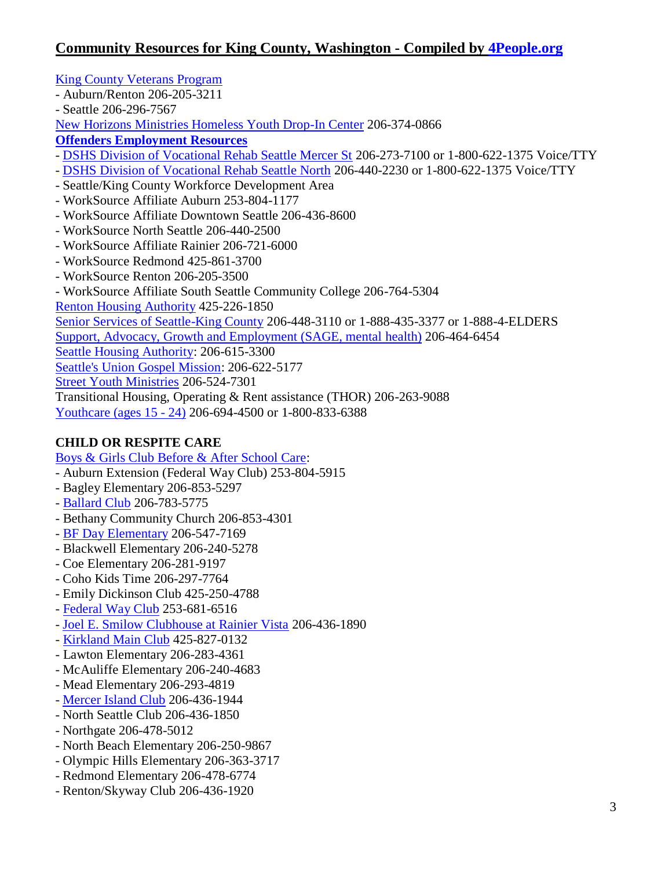[King County Veterans Program](http://www.kingcounty.gov/socialservices/veterans.aspx)

- Auburn/Renton 206-205-3211
- Seattle 206-296-7567

[New Horizons Ministries Homeless Youth Drop-In Center](http://www.nhmin.org/) 206-374-0866

**[Offenders Employment Resources](http://www.wa.gov/esd/oes/)**

- [DSHS Division of Vocational Rehab Seattle Mercer St](http://www.dshs.wa.gov/dvr/ContactUs/seattlemercer.aspx) 206-273-7100 or 1-800-622-1375 Voice/TTY
- [DSHS Division of Vocational Rehab Seattle North](http://www.dshs.wa.gov/dvr/ContactUs/northseattle.aspx) 206-440-2230 or 1-800-622-1375 Voice/TTY
- Seattle/King County Workforce Development Area
- WorkSource Affiliate Auburn 253-804-1177
- WorkSource Affiliate Downtown Seattle 206-436-8600
- WorkSource North Seattle 206-440-2500
- WorkSource Affiliate Rainier 206-721-6000
- WorkSource Redmond 425-861-3700
- WorkSource Renton 206-205-3500
- WorkSource Affiliate South Seattle Community College 206-764-5304
- [Renton Housing Authority](http://www.rentonhousing.org/) 425-226-1850

[Senior Services of Seattle-King County](http://www.seniorservices.org/) 206-448-3110 or 1-888-435-3377 or 1-888-4-ELDERS

[Support, Advocacy, Growth and Employment \(SAGE, mental](http://www.desc.org/sage.html) health) 206-464-6454

[Seattle Housing Authority:](http://www.seattlehousing.org/) 206-615-3300

[Seattle's Union Gospel Mission:](http://www.ugm.org/) 206-622-5177

[Street Youth Ministries](http://www.streetyouthministries.org/) 206-524-7301

Transitional Housing, Operating & Rent assistance (THOR) 206-263-9088

[Youthcare \(ages 15 -](http://www.youthcare.org/) 24) 206-694-4500 or 1-800-833-6388

# **CHILD OR RESPITE CARE**

### [Boys & Girls Club Before & After School Care:](http://www.positiveplace.org/findaclub.html)

- Auburn Extension (Federal Way Club) 253-804-5915
- Bagley Elementary 206-853-5297
- [Ballard Club](http://www.ballard.positiveplace.org/childcare.html) 206-783-5775
- Bethany Community Church 206-853-4301
- [BF Day Elementary](http://www.wallingfordboysandgirlsclub.org/bfday.htm) 206-547-7169
- Blackwell Elementary 206-240-5278
- Coe Elementary 206-281-9197
- Coho Kids Time 206-297-7764
- Emily Dickinson Club 425-250-4788
- [Federal Way Club](http://www.fwbgc.org/) 253-681-6516
- [Joel E. Smilow Clubhouse at Rainier Vista](http://rv.positiveplace.org/programs.html) 206-436-1890
- [Kirkland Main Club](http://www.onepositiveplace.org/) 425-827-0132
- Lawton Elementary 206-283-4361
- McAuliffe Elementary 206-240-4683
- Mead Elementary 206-293-4819
- [Mercer Island Club](http://www.mi.positiveplace.org/childcare.html) 206-436-1944
- North Seattle Club 206-436-1850
- Northgate 206-478-5012
- North Beach Elementary 206-250-9867
- Olympic Hills Elementary 206-363-3717
- Redmond Elementary 206-478-6774
- Renton/Skyway Club 206-436-1920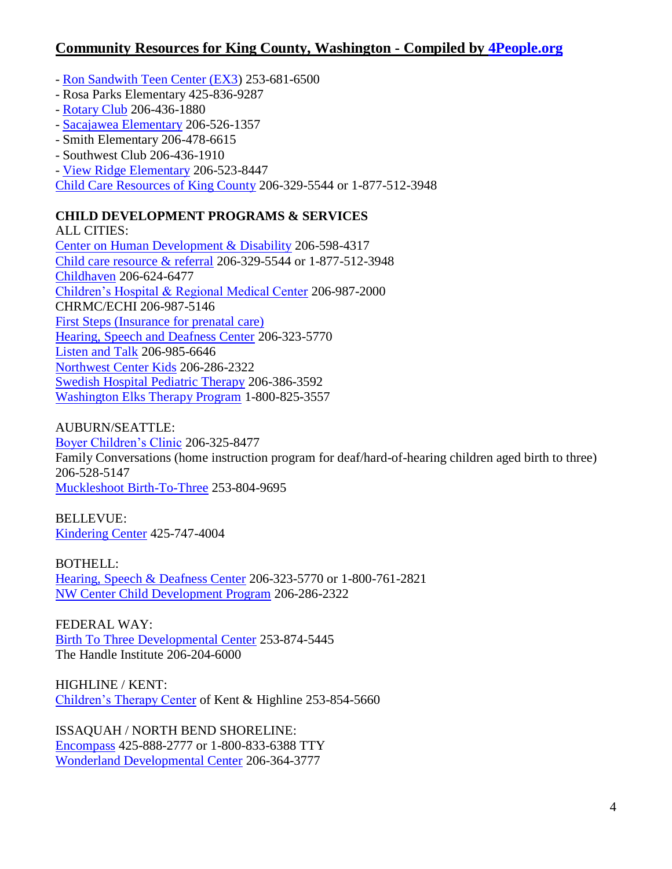- [Ron Sandwith Teen Center \(EX3\)](http://www.ex3live.com/) 253-681-6500
- Rosa Parks Elementary 425-836-9287
- [Rotary Club](http://www.rotary.positiveplace.org/) 206-436-1880
- [Sacajawea Elementary](http://www.wallingfordboysandgirlsclub.org/sacajawea.htm) 206-526-1357
- Smith Elementary 206-478-6615
- Southwest Club 206-436-1910
- [View Ridge Elementary](http://www.wallingfordboysandgirlsclub.org/viewridge.htm) 206-523-8447

[Child Care Resources of King County](http://www.childcare.org/) 206-329-5544 or 1-877-512-3948

### **CHILD DEVELOPMENT PROGRAMS & SERVICES**

ALL CITIES: [Center on Human Development & Disability](http://depts.washington.edu/chdd/) 206-598-4317 [Child care resource & referral](http://www.childcare.org/ccr/index.asp) 206-329-5544 or 1-877-512-3948 [Childhaven](http://www.childhaven.org/) 206-624-6477 [Children's Hospital & Regional Medical Center](http://www.seattlechildrens.org/) 206-987-2000 CHRMC/ECHI 206-987-5146 [First Steps \(Insurance for prenatal care\)](http://www.kingcounty.gov/healthservices/health/personal/famplan/services/fsprenatal.aspx) [Hearing, Speech and Deafness Center](http://www.hsdc.org/education/) 206-323-5770 [Listen and Talk](http://www.listentalk.org/) 206-985-6646 [Northwest Center Kids](http://www.nwcenterkids.org/) 206-286-2322 [Swedish Hospital Pediatric Therapy](http://www.swedish.org/Services/Pediatric-Specialty-Care/Services/Pediatric-Therapy-Services) 206-386-3592 [Washington Elks Therapy Program](http://www.tallelks.org/) 1-800-825-3557

### AUBURN/SEATTLE:

[Boyer Children's Clinic](http://www.boyercc.org/) 206-325-8477 Family Conversations (home instruction program for deaf/hard-of-hearing children aged birth to three) 206-528-5147 [Muckleshoot Birth-To-Three](http://www.muckleshoot.nsn.us/services/department-of-education/birth-to-three.aspx) 253-804-9695

BELLEVUE: [Kindering Center](http://www.kindering.org/) 425-747-4004

BOTHELL: [Hearing, Speech & Deafness Center](http://www.hsdc.org/) 206-323-5770 or 1-800-761-2821 [NW Center Child Development Program](http://www.nwcenter.org/CS-ChildPrograms.asp) 206-286-2322

FEDERAL WAY: [Birth To Three Developmental Center](http://www.birthtothree.org/) 253-874-5445 The Handle Institute 206-204-6000

HIGHLINE / KENT: [Children's Therapy Center](http://www.ctckids.org/) of Kent & Highline 253-854-5660

ISSAQUAH / NORTH BEND SHORELINE: [Encompass](http://www.encompassnw.org/) 425-888-2777 or 1-800-833-6388 TTY [Wonderland Developmental Center](http://www.wdcbirthtothree.org/) 206-364-3777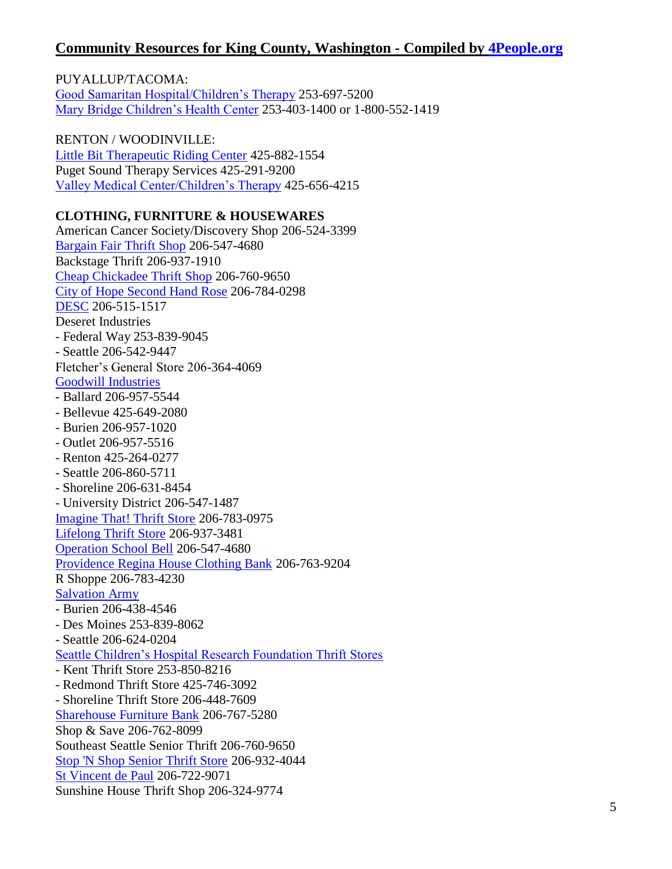PUYALLUP/TACOMA: [Good Samaritan Hospital/Children's Therapy](http://www.multicare.org/goodsam/childrens-therapy-unit) 253-697-5200 [Mary Bridge Children's Health Center](http://www.marybridge.org/) 253-403-1400 or 1-800-552-1419

RENTON / WOODINVILLE: [Little Bit Therapeutic Riding Center](http://www.littlebit.org/) 425-882-1554 Puget Sound Therapy Services 425-291-9200 [Valley Medical Center/Children's Therapy](http://www.valleymed.org/services/pediatrics/childrens_therapy.asp) 425-656-4215

#### **CLOTHING, FURNITURE & HOUSEWARES**

American Cancer Society/Discovery Shop 206-524-3399 [Bargain Fair Thrift Shop](http://seattle.assistanceleague.org/ps.thriftshop.cfm?ID=975) 206-547-4680 Backstage Thrift 206-937-1910 [Cheap Chickadee Thrift Shop](http://www.cheapchickadee.org/) 206-760-9650 [City of Hope Second Hand Rose](http://www.cityofhope.org/giving/regional-fundraising-offices/seattle/Pages/chapters.aspx) 206-784-0298 [DESC](http://www.desc.org/) 206-515-1517 Deseret Industries - Federal Way 253-839-9045 - Seattle 206-542-9447 Fletcher's General Store 206-364-4069 [Goodwill Industries](http://www.seattlegoodwill.org/shop/stores) - Ballard 206-957-5544 - Bellevue 425-649-2080 - Burien 206-957-1020 - Outlet 206-957-5516 - Renton 425-264-0277 - Seattle 206-860-5711 - Shoreline 206-631-8454 - University District 206-547-1487 [Imagine That! Thrift Store](http://imaginethatthriftstore.com/) 206-783-0975 [Lifelong Thrift Store](http://www.lifelongaidsalliance.org/thriftstore) 206-937-3481 [Operation School Bell](http://seattle.assistanceleague.org/ps.projects.cfm?ID=976) 206-547-4680 [Providence Regina House Clothing Bank](http://providence.org/washington/regina_house/default.htm) 206-763-9204 R Shoppe 206-783-4230 [Salvation Army](http://www.salvationarmynw.org/thrift.asp) - Burien 206-438-4546 - Des Moines 253-839-8062 - Seattle 206-624-0204 [Seattle Children's Hospital Research Foundation Thrift Stores](http://www.seattlechildrens.org/ways-to-help/shopping/locations/) - Kent Thrift Store 253-850-8216 - Redmond Thrift Store 425-746-3092 - Shoreline Thrift Store 206-448-7609 [Sharehouse Furniture Bank](http://www.thesharehouse.org/) 206-767-5280 Shop & Save 206-762-8099 Southeast Seattle Senior Thrift 206-760-9650 [Stop 'N Shop Senior Thrift Store](http://www.stop-n-shopthrift.org/) 206-932-4044 [St Vincent de Paul](http://www.svdpseattle.org/FoodBank.htm) 206-722-9071 Sunshine House Thrift Shop 206-324-9774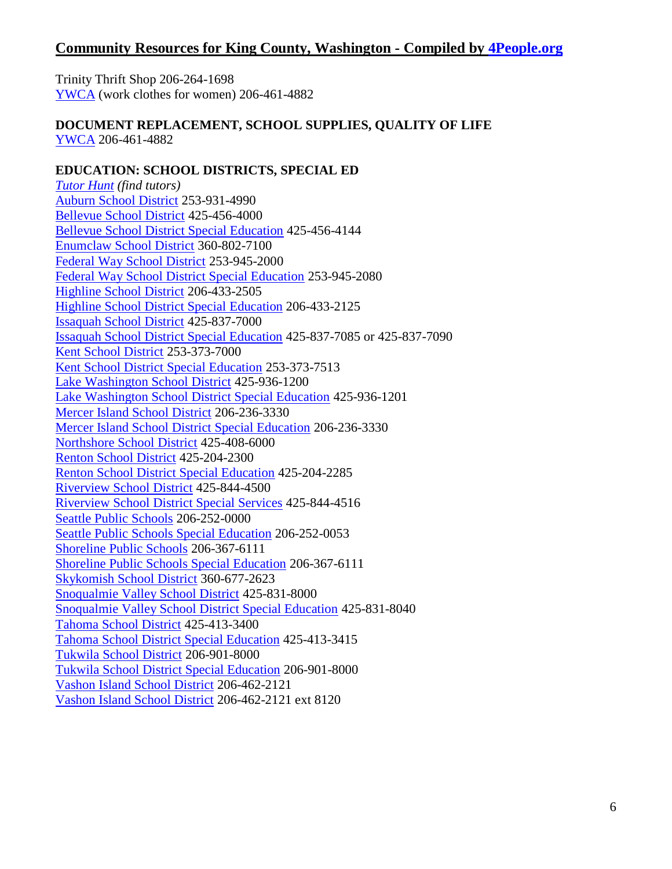Trinity Thrift Shop 206-264-1698 [YWCA](https://www.ywcaworks.org/NetCommunity/Page.aspx?pid=394) (work clothes for women) 206-461-4882

#### **DOCUMENT REPLACEMENT, SCHOOL SUPPLIES, QUALITY OF LIFE** [YWCA](http://www.ywcaworks.org/) 206-461-4882

#### **EDUCATION: SCHOOL DISTRICTS, SPECIAL ED**

*[Tutor Hunt](http://www.tutorhunt.com/) (find tutors)* [Auburn School District](http://www.auburn.wednet.edu/) 253-931-4990 [Bellevue School District](http://www.bsd405.org/) 425-456-4000 [Bellevue School District Special Education](http://www.bsd405.org/default.aspx?tabID=1167) 425-456-4144 [Enumclaw School District](http://www.enumclaw.wednet.edu/) 360-802-7100 [Federal Way School District](http://www.fwps.org/) 253-945-2000 [Federal Way School District Special Education](http://www.fwps.org/dept/sped/) 253-945-2080 [Highline School District](http://www.hsd401.org/) 206-433-2505 [Highline School District Special Education](http://www.hsd401.org/studentfamily/specialservices/) 206-433-2125 [Issaquah School District](http://www.issaquah.wednet.edu/) 425-837-7000 [Issaquah School District Special Education](http://www.issaquah.wednet.edu/district/departments/SpecServices/Default.aspx?dord=1) 425-837-7085 or 425-837-7090 [Kent School District](http://www.kent.k12.wa.us/) 253-373-7000 [Kent School District Special Education](http://www.kent.k12.wa.us/site/Default.aspx?PageID=371) 253-373-7513 [Lake Washington School District](http://www.lwsd.org/) 425-936-1200 [Lake Washington School District Special Education](http://www.lwsd.org/Parents/Special-Education/Pages/default.aspx) 425-936-1201 [Mercer Island School District](http://www.misd.k12.wa.us/) 206-236-3330 [Mercer Island School District Special Education](http://www.misd.k12.wa.us/curriculum/SpEd_info.html) 206-236-3330 [Northshore School District](http://www.nsd.org/) 425-408-6000 [Renton School District](http://www.rentonschools.us/) 425-204-2300 [Renton School District Special Education](http://www.rentonschools.us/Departments/Special_Education) 425-204-2285 [Riverview School District](http://www.riverview.wednet.edu/) 425-844-4500 [Riverview School District Special Services](http://www.riverview.wednet.edu/schools/school_programs.htm) 425-844-4516 [Seattle Public Schools](http://www.seattleschools.org/) 206-252-0000 [Seattle Public Schools Special Education](http://www.seattleschools.org/modules/cms/pages.phtml?sessionid=71cac6c671b1d6594fbfac74040e0ad7&pageid=211196&sessionid=71cac6c671b1d6594fbfac74040e0ad7) 206-252-0053 [Shoreline Public Schools](http://www.shorelineschools.org/) 206-367-6111 [Shoreline Public Schools Special Education](http://schools.shorelineschools.org/specialed/special-education/) 206-367-6111 [Skykomish School District](http://www.skykomishschool.com/) 360-677-2623 [Snoqualmie Valley School District](http://www.svsd410.org/) 425-831-8000 [Snoqualmie Valley School District Special Education](http://www.svsd410.org/departments/studentservices/SpecEd.asp) 425-831-8040 [Tahoma School District](http://www.tahomasd.us/) 425-413-3400 [Tahoma School District Special Education](http://www.tahomasd.us/studentlearning/specservices/) 425-413-3415 [Tukwila School District](http://www.tukwila.wednet.edu/) 206-901-8000 [Tukwila School District Special Education](http://www.tukwila.wednet.edu/index.php?option=com_content&task=view&id=60&Itemid=235) 206-901-8000 [Vashon Island School District](http://www.vashonsd.org/) 206-462-2121 [Vashon Island School District](http://www.vashonsd.org/index.php?/student-services/) 206-462-2121 ext 8120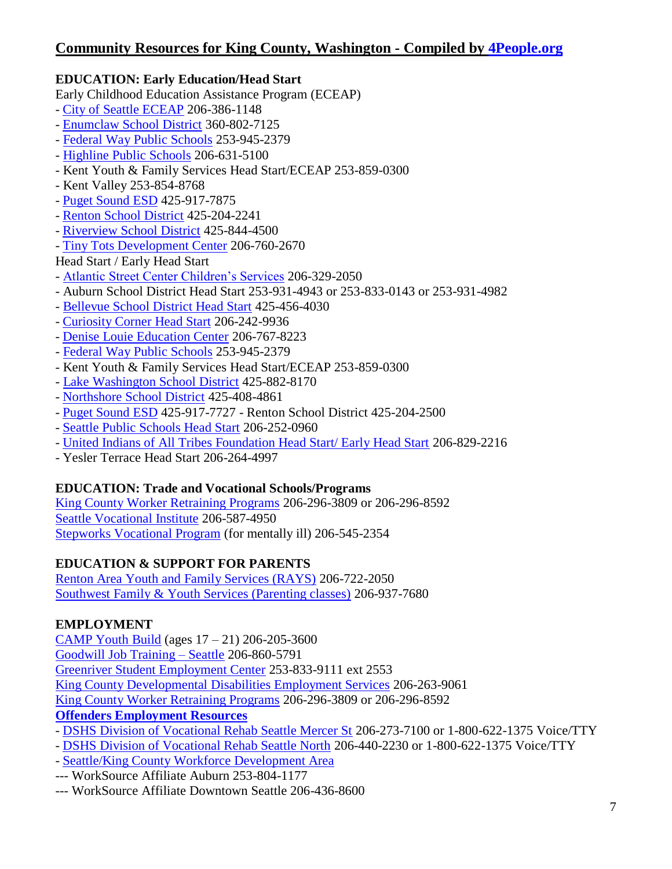## **EDUCATION: Early Education/Head Start**

Early Childhood Education Assistance Program (ECEAP)

- [City of Seattle ECEAP](http://www.seattle.gov/humanservices/children_families/school/early_learning.htm) 206-386-1148
- [Enumclaw School District](http://www.enumclaw.wednet.edu/departments/studentsupport/default.aspx) 360-802-7125
- [Federal Way Public Schools](http://www.fwps.org/dept/headstart/) 253-945-2379
- [Highline Public Schools](http://www.hsd401.org/directory/familycenter/earlychildhood.htm) 206-631-5100
- Kent Youth & Family Services Head Start/ECEAP 253-859-0300
- Kent Valley 253-854-8768
- [Puget Sound ESD](http://psesd.org/index.php?option=com_content&task=view&id=667&Itemid=617) 425-917-7875
- [Renton School District](http://www.rentonschools.us/Departments.aspx) 425-204-2241
- [Riverview School District](http://www.riverview.wednet.edu/schools/school_programs.htm) 425-844-4500
- [Tiny Tots Development Center](http://tinytotsdc.org/) 206-760-2670

## Head Start / Early Head Start

- [Atlantic Street Center Children's Services](http://www.atlanticstreet.org/programs/child-development) 206-329-2050
- Auburn School District Head Start 253-931-4943 or 253-833-0143 or 253-931-4982
- [Bellevue School District Head Start](http://www.bsd405.org/default.aspx?tabID=426) 425-456-4030
- [Curiosity Corner Head Start](http://curiositycornerschool.org/) 206-242-9936
- [Denise Louie Education Center](http://www.deniselouie.org/) 206-767-8223
- [Federal Way Public Schools](http://www.fwps.org/dept/headstart/) 253-945-2379
- Kent Youth & Family Services Head Start/ECEAP 253-859-0300
- [Lake Washington School District](http://www.lwsd.org/Parents/Other-Programs/Pages/Preschool.aspx) 425-882-8170
- [Northshore School District](http://www.nsd.org/education/components/scrapbook/default.php?sectiondetailid=89035&) 425-408-4861
- [Puget Sound ESD](http://psesd.org/index.php?option=com_content&task=view&id=661&Itemid=616) 425-917-7727 Renton School District 425-204-2500
- [Seattle Public Schools Head Start](http://district.seattleschools.org/modules/cms/pages.phtml?pageid=223296) 206-252-0960
- [United Indians of All Tribes Foundation Head Start/ Early Head Start](http://www.unitedindians.org/programs_001_001.html) 206-829-2216
- Yesler Terrace Head Start 206-264-4997

## **EDUCATION: Trade and Vocational Schools/Programs**

[King County Worker Retraining Programs](http://www.kingcounty.gov/employees/CareerSupport/WorkerRetraining.aspx) 206-296-3809 or 206-296-8592 [Seattle Vocational Institute](http://sviweb.sccd.ctc.edu/) 206-587-4950 [Stepworks Vocational Program](http://www.cpcwa.org/Services/stepworks.html) (for mentally ill) 206-545-2354

## **EDUCATION & SUPPORT FOR PARENTS**

[Renton Area Youth and Family Services \(RAYS\)](http://www.rays.org/) 206-722-2050 Southwest Family [& Youth Services \(Parenting classes\)](http://swyfs.org/family_center/) 206-937-7680

## **EMPLOYMENT**

[CAMP Youth Build](http://www.campseattle.org/) (ages 17 – 21) 206-205-3600 [Goodwill Job Training –](http://www.seattlegoodwill.org/jobtraining/jtecenters/seattle) Seattle 206-860-5791 [Greenriver Student Employment Center](http://www.greenriver.edu/student_employment/) 253-833-9111 ext 2553 King County Developmental [Disabilities Employment Services](http://www.kingcounty.gov/healthServices/DDD/services/employment.aspx) 206-263-9061 [King County Worker Retraining Programs](http://www.kingcounty.gov/employees/CareerSupport/WorkerRetraining.aspx) 206-296-3809 or 206-296-8592 **[Offenders Employment Resources](http://www.wa.gov/esd/oes/)**

- [DSHS Division of Vocational Rehab Seattle Mercer St](http://www.dshs.wa.gov/dvr/ContactUs/seattlemercer.aspx) 206-273-7100 or 1-800-622-1375 Voice/TTY
- [DSHS Division of Vocational Rehab Seattle North](http://www.dshs.wa.gov/dvr/ContactUs/northseattle.aspx) 206-440-2230 or 1-800-622-1375 Voice/TTY
- [Seattle/King County Workforce Development Area](http://www.seakingwdc.org/workforce/workforce-training-overview.html)
- --- WorkSource Affiliate Auburn 253-804-1177
- --- WorkSource Affiliate Downtown Seattle 206-436-8600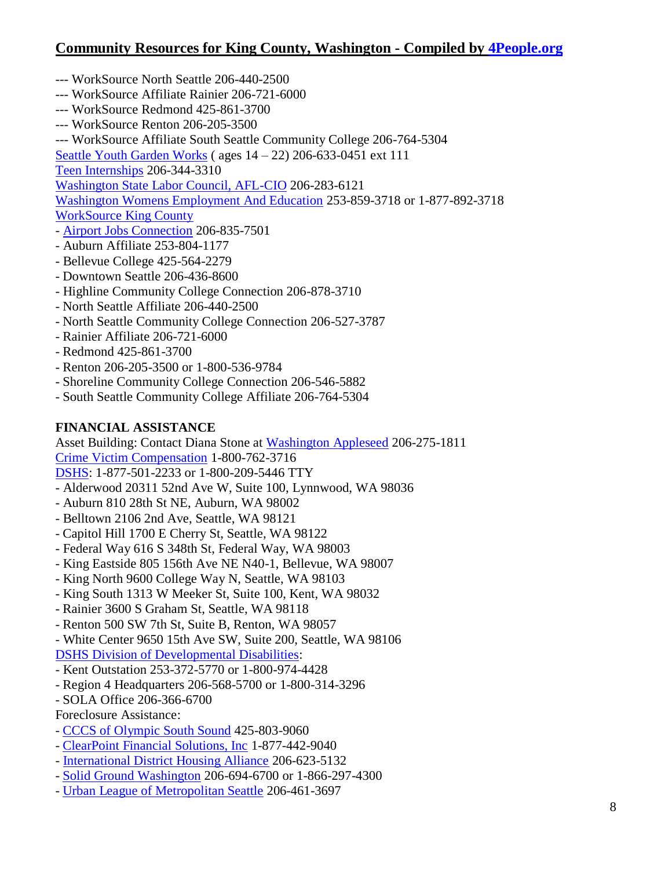- --- WorkSource North Seattle 206-440-2500
- --- WorkSource Affiliate Rainier 206-721-6000
- --- WorkSource Redmond 425-861-3700
- --- WorkSource Renton 206-205-3500
- --- WorkSource Affiliate South Seattle Community College 206-764-5304

[Seattle Youth Garden Works](http://www.sygw.org/) ( ages 14 – 22) 206-633-0451 ext 111

[Teen Internships](http://www.teenjobs.org/) 206-344-3310

[Washington State Labor Council, AFL-CIO](http://www.wslc.org/) 206-283-6121

[Washington Womens Employment And Education](http://www.wwee.org/) 253-859-3718 or 1-877-892-3718

[WorkSource King County](http://www.worksourceskc.org/)

- [Airport Jobs Connection](http://www.airportjobs.org/) 206-835-7501
- Auburn Affiliate 253-804-1177
- Bellevue College 425-564-2279
- Downtown Seattle 206-436-8600
- Highline Community College Connection 206-878-3710
- North Seattle Affiliate 206-440-2500
- North Seattle Community College Connection 206-527-3787
- Rainier Affiliate 206-721-6000
- Redmond 425-861-3700
- Renton 206-205-3500 or 1-800-536-9784
- Shoreline Community College Connection 206-546-5882
- South Seattle Community College Affiliate 206-764-5304

### **FINANCIAL ASSISTANCE**

Asset Building: Contact Diana Stone at [Washington Appleseed](http://www.waappleseed.org/) 206-275-1811 [Crime Victim Compensation](http://www.lni.wa.gov/ClaimsIns/CrimeVictims/About/default.asp) 1-800-762-3716 [DSHS:](http://www.dshs.wa.gov/) 1-877-501-2233 or 1-800-209-5446 TTY

- Alderwood 20311 52nd Ave W, Suite 100, Lynnwood, WA 98036
- Auburn 810 28th St NE, Auburn, WA 98002
- Belltown 2106 2nd Ave, Seattle, WA 98121
- Capitol Hill 1700 E Cherry St, Seattle, WA 98122
- Federal Way 616 S 348th St, Federal Way, WA 98003
- King Eastside 805 156th Ave NE N40-1, Bellevue, WA 98007
- King North 9600 College Way N, Seattle, WA 98103
- King South 1313 W Meeker St, Suite 100, Kent, WA 98032
- Rainier 3600 S Graham St, Seattle, WA 98118
- Renton 500 SW 7th St, Suite B, Renton, WA 98057
- White Center 9650 15th Ave SW, Suite 200, Seattle, WA 98106
- [DSHS Division of Developmental Disabilities:](http://www.dshs.wa.gov/ddd/)
- Kent Outstation 253-372-5770 or 1-800-974-4428
- Region 4 Headquarters 206-568-5700 or 1-800-314-3296
- SOLA Office 206-366-6700
- Foreclosure Assistance:
- [CCCS of Olympic South Sound](http://www.cccservices.com/) 425-803-9060
- [ClearPoint Financial Solutions, Inc](http://www.clearpointfinancialsolutions.org/) 1-877-442-9040
- [International District Housing Alliance](http://www.apialliance.org/) 206-623-5132
- [Solid Ground Washington](http://www.solid-ground.org/) 206-694-6700 or 1-866-297-4300
- [Urban League of Metropolitan Seattle](http://www.urbanleague.org/) 206-461-3697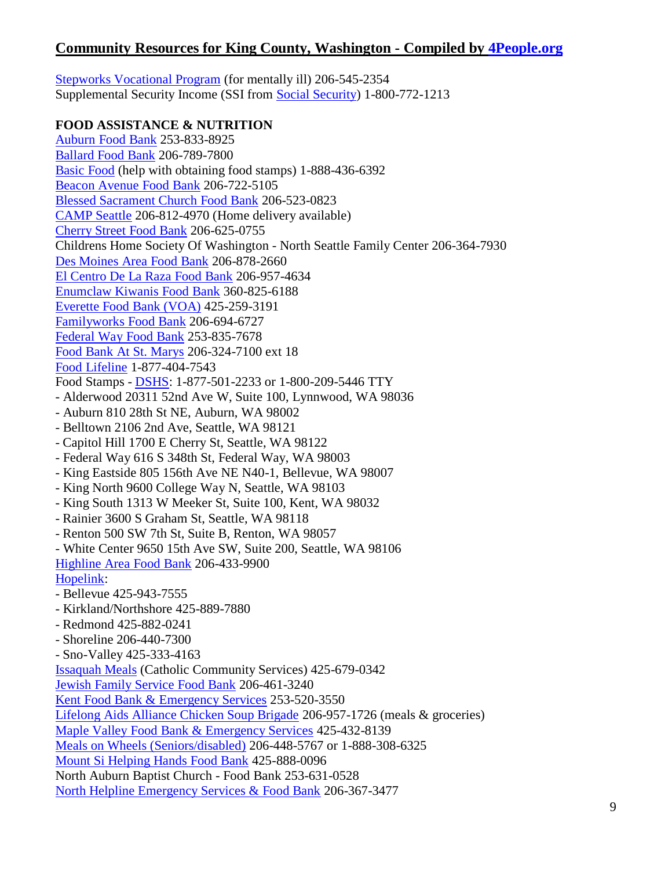[Stepworks Vocational Program](http://www.cpcwa.org/Services/stepworks.html) (for mentally ill) 206-545-2354 Supplemental Security Income (SSI from [Social Security\)](http://www.ssa.gov/) 1-800-772-1213

**FOOD ASSISTANCE & NUTRITION** [Auburn Food Bank](http://www.theauburnfoodbank.org/) 253-833-8925 [Ballard Food Bank](http://www.ballardfoodbank.org/) 206-789-7800 [Basic Food](http://parenthelp123.org/resources/food-resources/basic-food) (help with obtaining food stamps) 1-888-436-6392 [Beacon Avenue Food Bank](https://www.facebook.com/pages/Beacon-Avenue-Food-Bank/161365677237555?sk=info) 206-722-5105 [Blessed Sacrament Church Food Bank](http://www.blessed-sacrament.org/foodbank.html) 206-523-0823 [CAMP Seattle](http://www.campseattle.org/programs/food-bank/) 206-812-4970 (Home delivery available) [Cherry Street Food Bank](http://www.northwestharvest.org/Our_Partners/Cherry_Street_Food_Bank.htm) 206-625-0755 Childrens Home Society Of Washington - North Seattle Family Center 206-364-7930 [Des Moines Area Food Bank](http://www.myfoodbank.org/) 206-878-2660 [El Centro De La Raza Food Bank](http://www.elcentrodelaraza.com/WhatWeDo/hes.htm) 206-957-4634 [Enumclaw Kiwanis Food Bank](http://www.skcfc.org/enumclaw/) 360-825-6188 [Everette Food Bank \(VOA\)](http://www.voaww.org/Get-Help/Food/Food-Banks) 425-259-3191 [Familyworks Food Bank](http://www.familyworksseattle.org/food-bank) 206-694-6727 [Federal Way Food Bank](http://www.multi-servicecenter.com/get-help/food-bank/) 253-835-7678 [Food Bank At St. Marys](http://www.scn.org/frnf/stmarys.htm) 206-324-7100 ext 18 [Food Lifeline](http://www.foodlifeline.org/) 1-877-404-7543 Food Stamps - [DSHS:](http://www.dshs.wa.gov/) 1-877-501-2233 or 1-800-209-5446 TTY - Alderwood 20311 52nd Ave W, Suite 100, Lynnwood, WA 98036 - Auburn 810 28th St NE, Auburn, WA 98002 - Belltown 2106 2nd Ave, Seattle, WA 98121 - Capitol Hill 1700 E Cherry St, Seattle, WA 98122 - Federal Way 616 S 348th St, Federal Way, WA 98003 - King Eastside 805 156th Ave NE N40-1, Bellevue, WA 98007 - King North 9600 College Way N, Seattle, WA 98103 - King South 1313 W Meeker St, Suite 100, Kent, WA 98032 - Rainier 3600 S Graham St, Seattle, WA 98118 - Renton 500 SW 7th St, Suite B, Renton, WA 98057 - White Center 9650 15th Ave SW, Suite 200, Seattle, WA 98106 [Highline Area Food Bank](http://www.skcfc.org/highline/) 206-433-9900 [Hopelink:](http://www.hope-link.org/get_help/food/) - Bellevue 425-943-7555 - Kirkland/Northshore 425-889-7880 - Redmond 425-882-0241 - Shoreline 206-440-7300 - Sno-Valley 425-333-4163 [Issaquah Meals](http://www.ccsww.org/site/PageServer?pagename=homeless_communitymeals) (Catholic Community Services) 425-679-0342 [Jewish Family Service Food Bank](http://www.jfsseattle.org/foodbank.html) 206-461-3240 [Kent Food Bank & Emergency Services](http://www.skcfc.org/kentfoodbank/) 253-520-3550 [Lifelong Aids Alliance Chicken Soup Brigade](http://www.lifelongaidsalliance.org/csb) 206-957-1726 (meals & groceries) [Maple Valley Food Bank & Emergency Services](http://www.maplevalleyfoodbank.org/) 425-432-8139 [Meals on Wheels \(Seniors/disabled\)](http://www.seniorservices.org/getting_assistance/all_programs/meals_on_wheels.aspx) 206-448-5767 or 1-888-308-6325 [Mount Si Helping Hands Food Bank](http://mtsifoodbank.org/) 425-888-0096 North Auburn Baptist Church - Food Bank 253-631-0528 [North Helpline Emergency Services & Food Bank](http://www.northhelpline.org/) 206-367-3477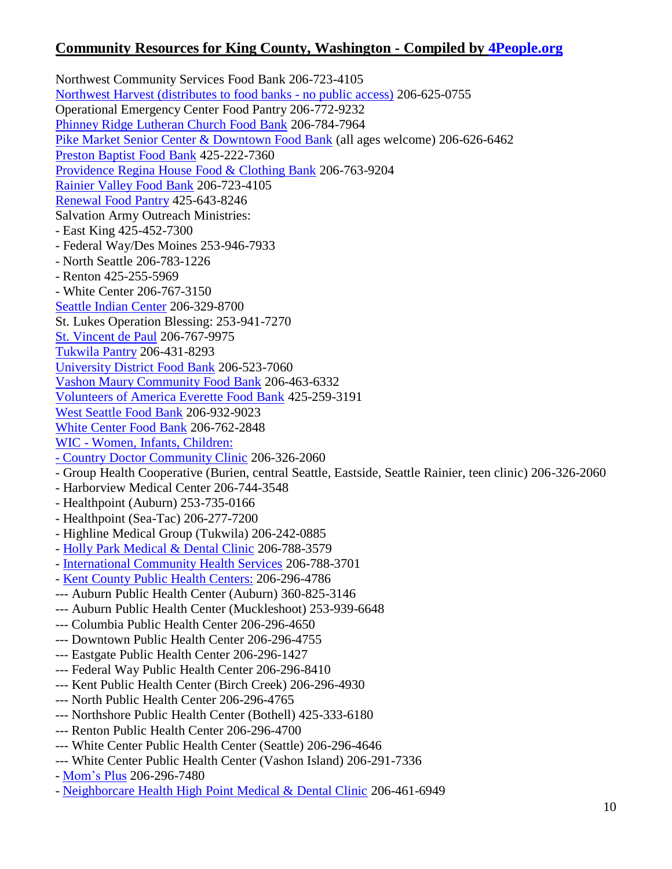Northwest Community Services Food Bank 206-723-4105 [Northwest Harvest \(distributes to food banks -](http://www.northwestharvest.org/) no public access) 206-625-0755 Operational Emergency Center Food Pantry 206-772-9232 [Phinney Ridge Lutheran Church Food Bank](http://www.prlc.org/service-and-outreach/food-bank/) 206-784-7964 [Pike Market Senior Center & Downtown Food Bank](http://www.pikemarketseniorcenter.org/) (all ages welcome) 206-626-6462 [Preston Baptist Food Bank](http://www.chonline.org/PBC/foodbank.html) 425-222-7360 [Providence Regina House Food & Clothing Bank](http://providence.org/washington/regina_house/default.htm) 206-763-9204 [Rainier Valley Food Bank](http://www.rvfb.org/) 206-723-4105 [Renewal Food Pantry](http://www.worldimpactnetwork.org/lRenewal.php) 425-643-8246 Salvation Army Outreach Ministries: - East King 425-452-7300 - Federal Way/Des Moines 253-946-7933 - North Seattle 206-783-1226 - Renton 425-255-5969 - White Center 206-767-3150 [Seattle Indian Center](http://seattleindiancenter.us/community-services/) 206-329-8700 St. Lukes Operation Blessing: 253-941-7270 [St. Vincent de Paul](http://www.svdpseattle.org/FoodBank.htm) 206-767-9975 [Tukwila Pantry](http://www.tukwilapantry.org/) 206-431-8293 [University District Food Bank](http://www.udistrictfoodbank.org/) 206-523-7060 [Vashon Maury Community Food Bank](http://www.vashonfoodbank.org/) 206-463-6332 [Volunteers of America Everette Food Bank](http://www.voaww.org/Get-Help/Food/Food-Banks) 425-259-3191 [West Seattle Food Bank](http://www.westseattlefoodbank.org/services.asp) 206-932-9023 [White Center Food Bank](http://www.skcfc.org/whitecenterfoodbank/) 206-762-2848 WIC - [Women, Infants, Children:](http://www.withinreachwa.org/wicsearch)  [-](http://www.withinreachwa.org/wicsearch) [Country Doctor Community Clinic](http://www.countrydoctor.org/index.php?option=com_content&task=view&id=15&Itemid=27) 206-326-2060 - Group Health Cooperative (Burien, central Seattle, Eastside, Seattle Rainier, teen clinic) 206-326-2060 - Harborview Medical Center 206-744-3548 - Healthpoint (Auburn) 253-735-0166 - Healthpoint (Sea-Tac) 206-277-7200 - Highline Medical Group (Tukwila) 206-242-0885 - [Holly Park Medical & Dental Clinic](http://www.ichs.com/index.php?page=WIC) 206-788-3579 - [International Community Health Services](http://www.ichs.com/index.php?page=WIC) 206-788-3701 - [Kent County Public Health Centers:](http://www.kingcounty.gov/healthservices/health/personal/wic.aspx) 206-296-4786 --- Auburn Public Health Center (Auburn) 360-825-3146 --- Auburn Public Health Center (Muckleshoot) 253-939-6648 --- Columbia Public Health Center 206-296-4650 --- Downtown Public Health Center 206-296-4755 --- Eastgate Public Health Center 206-296-1427 --- Federal Way Public Health Center 206-296-8410 --- Kent Public Health Center (Birch Creek) 206-296-4930 --- North Public Health Center 206-296-4765 --- Northshore Public Health Center (Bothell) 425-333-6180 --- Renton Public Health Center 206-296-4700 --- White Center Public Health Center (Seattle) 206-296-4646 --- White Center Public Health Center (Vashon Island) 206-291-7336 - [Mom's Plus](http://www.kingcounty.gov/healthservices/health/personal/momsplus.aspx) 206-296-7480

- [Neighborcare Health High Point Medical & Dental Clinic](http://www.neighborcare.org/clinics/high-point-medical-dental-clinic) 206-461-6949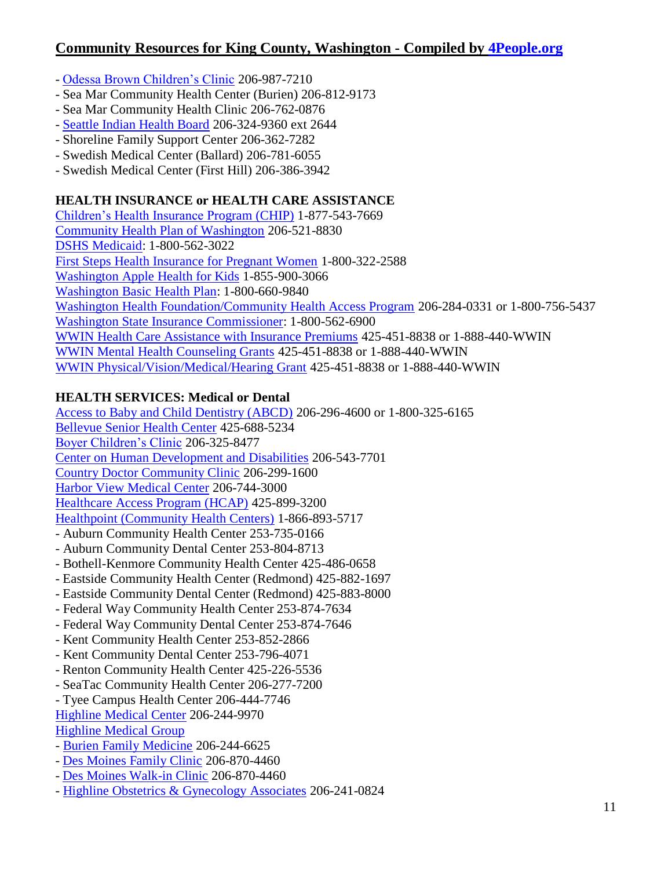- [Odessa Brown Children's Clinic](http://www.odessabrown.org/clinic-services/) 206-987-7210
- Sea Mar Community Health Center (Burien) 206-812-9173
- Sea Mar Community Health Clinic 206-762-0876
- [Seattle Indian Health Board](http://www.sihb.org/maternal_infant_health.html) 206-324-9360 ext 2644
- Shoreline Family Support Center 206-362-7282
- Swedish Medical Center (Ballard) 206-781-6055
- Swedish Medical Center (First Hill) 206-386-3942

#### **HEALTH INSURANCE or HEALTH CARE ASSISTANCE**

[Children's Health Insurance Program \(CHIP\)](http://fortress.wa.gov/dshs/maa/CHIP/Index.html) 1-877-543-7669 [Community Health Plan of Washington](http://www.chpw.org/en/index.php) 206-521-8830 [DSHS Medicaid:](http://fortress.wa.gov/dshs/maa/) 1-800-562-3022 [First Steps Health Insurance for Pregnant Women](http://parenthelp123.org/resources/health-insurance/first-steps) 1-800-322-2588 [Washington Apple Health for Kids](https://www.myapplehealth.org/) 1-855-900-3066 [Washington Basic Health Plan:](http://www.basichealth.hca.wa.gov/) 1-800-660-9840 [Washington Health Foundation/Community Health Access Program](http://www.whf.org/Programs/CHAP.aspx) 206-284-0331 or 1-800-756-5437 [Washington State Insurance Commissioner:](http://www.insurance.wa.gov/) 1-800-562-6900 [WWIN Health Care Assistance with Insurance Premiums](http://www.wawomeninneed.org/doc/program_healthcare.htm) 425-451-8838 or 1-888-440-WWIN [WWIN Mental Health Counseling Grants](http://www.wawomeninneed.org/doc/program_counseling.htm) 425-451-8838 or 1-888-440-WWIN [WWIN Physical/Vision/Medical/Hearing Grant](http://www.wawomeninneed.org/doc/program_physical.htm) 425-451-8838 or 1-888-440-WWIN

### **HEALTH SERVICES: Medical or Dental**

[Access to Baby and Child Dentistry \(ABCD\)](http://www.kingcounty.gov/healthservices/health/child/kgc/abcd.aspx) 206-296-4600 or 1-800-325-6165 [Bellevue Senior Health Center](http://www.overlakehospital.org/services/senior-care/health-centers/bellevue/) 425-688-5234 [Boyer Children's Clinic](http://www.boyercc.org/) 206-325-8477 [Center on Human Development and Disabilities](http://depts.washington.edu/chdd/) 206-543-7701 [Country Doctor Community Clinic](http://www.countrydoctor.org/index.php?option=com_content&task=view&id=36&Itemid=33) 206-299-1600 [Harbor View Medical Center](http://uwmedicine.washington.edu/Facilities/Harborview/) 206-744-3000 [Healthcare Access Program \(HCAP\)](http://www.evergreenhealthcare.org/services/HCAP_Clinic.htm) 425-899-3200 [Healthpoint \(Community Health Centers\)](http://healthpointchc.org/) 1-866-893-5717 - Auburn Community Health Center 253-735-0166 - Auburn Community Dental Center 253-804-8713 - Bothell-Kenmore Community Health Center 425-486-0658 - Eastside Community Health Center (Redmond) 425-882-1697 - Eastside Community Dental Center (Redmond) 425-883-8000 - Federal Way Community Health Center 253-874-7634 - Federal Way Community Dental Center 253-874-7646 - Kent Community Health Center 253-852-2866 - Kent Community Dental Center 253-796-4071 - Renton Community Health Center 425-226-5536 - SeaTac Community Health Center 206-277-7200 - Tyee Campus Health Center 206-444-7746

[Highline Medical Center](http://www.highlinemedicalcenter.org/) 206-244-9970

[Highline Medical Group](http://www.highlinemedicalcenter.org/highline_medical_group/)

- [Burien Family Medicine](http://www.highlinemedicalcenter.org/highline_medical_group/family-practice/burien-family-medicine.htm) 206-244-6625
- [Des Moines Family Clinic](http://www.highlinemedicalcenter.org/highline_medical_group/family-practice/des-moines-family.htm) 206-870-4460
- [Des Moines Walk-in Clinic](http://www.highlinemedicalcenter.org/highline_medical_group/walk-in-clinics.htm) 206-870-4460
- [Highline Obstetrics & Gynecology Associates](http://www.highlinemedicalcenter.org/highline_medical_group/obstetrics-gynecology/highline-obstetrics-gynecology.htm) 206-241-0824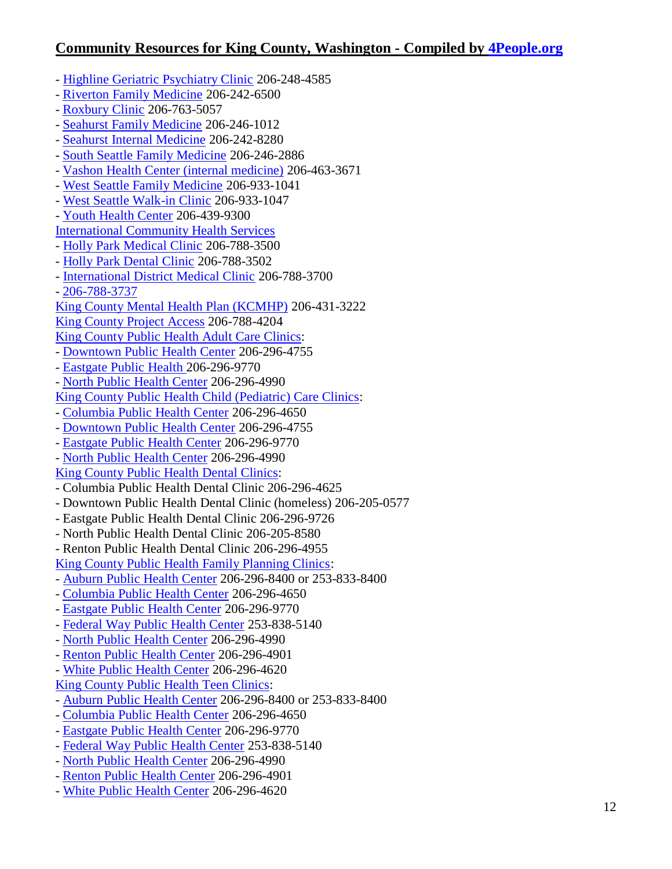- [Highline Geriatric Psychiatry Clinic](http://www.highlinemedicalcenter.org/highline_medical_group/specialty-clinics/highline-geriatric-psychiatry.htm) 206-248-4585
- [Riverton Family Medicine](http://www.highlinemedicalcenter.org/highline_medical_group/family-practice/riverton-family-medicine.htm) 206-242-6500
- [Roxbury Clinic](http://www.highlinemedicalcenter.org/highline_medical_group/family-practice/roxbury-clinic.htm) 206-763-5057
- [Seahurst Family Medicine](http://www.highlinemedicalcenter.org/highline_medical_group/family-practice/seahurst-family-medicine.htm) 206-246-1012
- [Seahurst Internal Medicine](http://www.highlinemedicalcenter.org/highline_medical_group/internal-medicine/seahurst-internal-medicine.htm) 206-242-8280
- [South Seattle Family Medicine](http://www.highlinemedicalcenter.org/highline_medical_group/family-practice/south-seattle-family.htm) 206-246-2886
- [Vashon Health Center \(internal medicine\)](http://www.highlinemedicalcenter.org/highline_medical_group/internal-medicine/vashon-health-center.htm) 206-463-3671
- [West Seattle Family Medicine](http://www.highlinemedicalcenter.org/highline_medical_group/family-practice/west-seattle-family.htm) 206-933-1041
- [West Seattle Walk-in Clinic](http://www.highlinemedicalcenter.org/highline_medical_group/walk-in-clinics.htm) 206-933-1047
- [Youth Health Center](http://www.highlinemedicalcenter.org/highline_medical_group/youth-health/youth-health-center.htm) 206-439-9300
- [International Community Health Services](http://www.ichs.com/)
- [Holly Park Medical Clinic](http://www.ichs.com/index.php?page=HP%20Clinic) 206-788-3500
- [Holly Park Dental Clinic](http://www.ichs.com/index.php?page=HP%20Clinic) 206-788-3502
- [International District Medical Clinic](http://www.ichs.com/index.php?page=ID%20Clinic) 206-788-3700
- [206-788-3737](http://www.ichs.com/index.php?page=ID%20Clinic)
- [King County Mental Health Plan \(KCMHP\)](http://www.kingcounty.gov/healthServices/MentalHealth/Services/CrisisServices.aspx) 206-431-3222
- [King County Project Access](http://www.kcprojectaccess.org/) 206-788-4204
- [King County Public Health Adult Care Clinics:](http://www.kingcounty.gov/healthservices/health/locations.aspx)
- [Downtown Public Health Center](http://www.kingcounty.gov/healthservices/health/locations/downtown.aspx) 206-296-4755
- [Eastgate Public](http://www.kingcounty.gov/healthservices/health/locations/eastgate.aspx) Health 206-296-9770
- [North Public Health Center](http://www.kingcounty.gov/healthservices/health/locations/north.aspx) 206-296-4990
- [King County Public Health Child \(Pediatric\) Care Clinics:](http://www.kingcounty.gov/healthservices/health/locations.aspx)
- [Columbia Public Health Center](http://www.kingcounty.gov/healthservices/health/locations/columbia.aspx) 206-296-4650
- [Downtown Public Health Center](http://www.kingcounty.gov/healthservices/health/locations/downtown.aspx) 206-296-4755
- [Eastgate Public Health Center](http://www.kingcounty.gov/healthservices/health/locations/eastgate.aspx) 206-296-9770
- [North Public Health Center](http://www.kingcounty.gov/healthservices/health/locations/north.aspx) 206-296-4990

#### [King County Public Health Dental Clinics:](http://www.kingcounty.gov/healthservices/health/locations/dental.aspx)

- Columbia Public Health Dental Clinic 206-296-4625
- Downtown Public Health Dental Clinic (homeless) 206-205-0577
- Eastgate Public Health Dental Clinic 206-296-9726
- North Public Health Dental Clinic 206-205-8580
- Renton Public Health Dental Clinic 206-296-4955

[King County Public Health Family Planning Clinics:](http://www.kingcounty.gov/healthservices/health/locations/famplan.aspx)

- [Auburn Public Health Center](http://www.kingcounty.gov/healthservices/health/locations/auburn.aspx) 206-296-8400 or 253-833-8400
- [Columbia Public Health Center](http://www.kingcounty.gov/healthservices/health/locations/columbia.aspx) 206-296-4650
- [Eastgate Public Health Center](http://www.kingcounty.gov/healthservices/health/locations/eastgate.aspx) 206-296-9770
- [Federal Way Public Health Center](http://www.kingcounty.gov/healthservices/health/locations/federalway.aspx) 253-838-5140
- [North Public Health Center](http://www.kingcounty.gov/healthservices/health/locations/north.aspx) 206-296-4990
- [Renton Public Health Center](http://www.kingcounty.gov/healthservices/health/locations/renton.aspx) 206-296-4901
- White Public [Health Center](http://www.kingcounty.gov/healthservices/health/locations/whitecenter.aspx) 206-296-4620
- [King County Public Health Teen Clinics:](http://www.kingcounty.gov/healthservices/health/locations/teenclinics.aspx)
- [Auburn Public Health Center](http://www.kingcounty.gov/healthservices/health/locations/auburn.aspx) 206-296-8400 or 253-833-8400
- [Columbia Public Health Center](http://www.kingcounty.gov/healthservices/health/locations/columbia.aspx) 206-296-4650
- [Eastgate Public Health Center](http://www.kingcounty.gov/healthservices/health/locations/eastgate.aspx) 206-296-9770
- [Federal Way Public Health Center](http://www.kingcounty.gov/healthservices/health/locations/federalway.aspx) 253-838-5140
- [North Public Health Center](http://www.kingcounty.gov/healthservices/health/locations/north.aspx) 206-296-4990
- [Renton Public Health Center](http://www.kingcounty.gov/healthservices/health/locations/renton.aspx) 206-296-4901
- [White Public Health Center](http://www.kingcounty.gov/healthservices/health/locations/whitecenter.aspx) 206-296-4620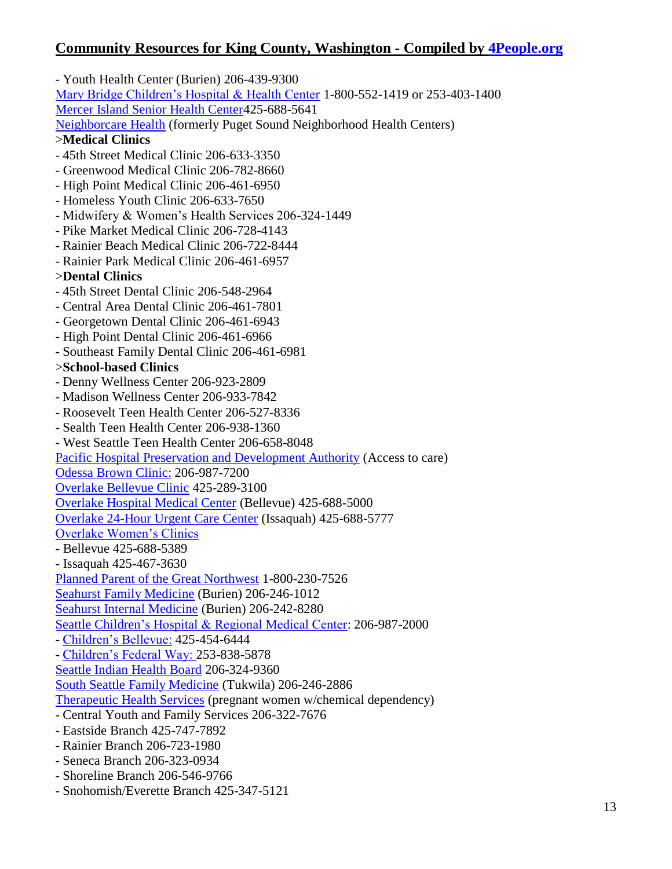- Youth Health Center (Burien) 206-439-9300 [Mary Bridge Children's Hospital & Health Center](http://www.marybridge.org/) 1-800-552-1419 or 253-403-1400 [Mercer Island Senior Health Center4](http://www.overlakehospital.org/programs.aspx?id=168)25-688-5641 [Neighborcare Health](http://www.psnhc.org/) (formerly Puget Sound Neighborhood Health Centers) >**Medical Clinics** - 45th Street Medical Clinic 206-633-3350 - Greenwood Medical Clinic 206-782-8660 - High Point Medical Clinic 206-461-6950 - Homeless Youth Clinic 206-633-7650 - Midwifery & Women's Health Services 206-324-1449 - Pike Market Medical Clinic 206-728-4143 - Rainier Beach Medical Clinic 206-722-8444 - Rainier Park Medical Clinic 206-461-6957 >**Dental Clinics** - 45th Street Dental Clinic 206-548-2964 - Central Area Dental Clinic 206-461-7801 - Georgetown Dental Clinic 206-461-6943 - High Point Dental Clinic 206-461-6966 - Southeast Family Dental Clinic 206-461-6981 >**School-based Clinics** - Denny Wellness Center 206-923-2809 - Madison Wellness Center 206-933-7842 - Roosevelt Teen Health Center 206-527-8336 - Sealth Teen Health Center 206-938-1360 - West Seattle Teen Health Center 206-658-8048 [Pacific Hospital Preservation and Development Authority](http://www.phpda.org/) (Access to care) [Odessa Brown](http://www.seattlechildrens.org/our_services/regional_services/obcc/) Clinic: 206-987-7200 [Overlake Bellevue Clinic](http://www.overlakehospital.org/programs.aspx?id=392) 425-289-3100 [Overlake Hospital Medical Center](http://www.overlakehospital.org/) (Bellevue) 425-688-5000 [Overlake 24-Hour Urgent Care Center](http://www.overlakehospital.org/programs.aspx?id=390) (Issaquah) 425-688-5777 [Overlake Women's Clinics](http://www.overlakehospital.org/programs.aspx?id=790) - Bellevue 425-688-5389 - Issaquah 425-467-3630 [Planned Parent of the Great Northwest](http://www.plannedparenthood.org/ppgnw/index.htm) 1-800-230-7526 [Seahurst Family Medicine](http://www.highlinemedicalcenter.org/highline_medical_group/services/seahurst-family-medicine.htm) (Burien) 206-246-1012 [Seahurst Internal Medicine](http://www.highlinemedicalcenter.org/highline_medical_group/services/seahurst-internal-medicine.htm) (Burien) 206-242-8280 [Seattle Children's Hospital & Regional Medical Center:](http://www.seattlechildrens.org/) 206-987-2000 - [Children's Bellevue:](http://www.seattlechildrens.org/home/about_childrens/maps_directions/bellevue.asp) 425-454-6444 - [Children's Federal Way: 2](http://www.seattlechildrens.org/home/about_childrens/maps_directions/federal_way.asp)53-838-5878 [Seattle Indian Health Board](http://www.sihb.org/) 206-324-9360 [South Seattle Family Medicine](http://www.highlinemedicalcenter.org/highline_medical_group/services/south-seattle-family.htm) (Tukwila) 206-246-2886 [Therapeutic Health Services](http://www.therapeutichealth.org/programs_pregnancy.html) (pregnant women w/chemical dependency) - Central Youth and Family Services 206-322-7676 - Eastside Branch 425-747-7892 - Rainier Branch 206-723-1980 - Seneca Branch 206-323-0934 - Shoreline Branch 206-546-9766

- Snohomish/Everette Branch 425-347-5121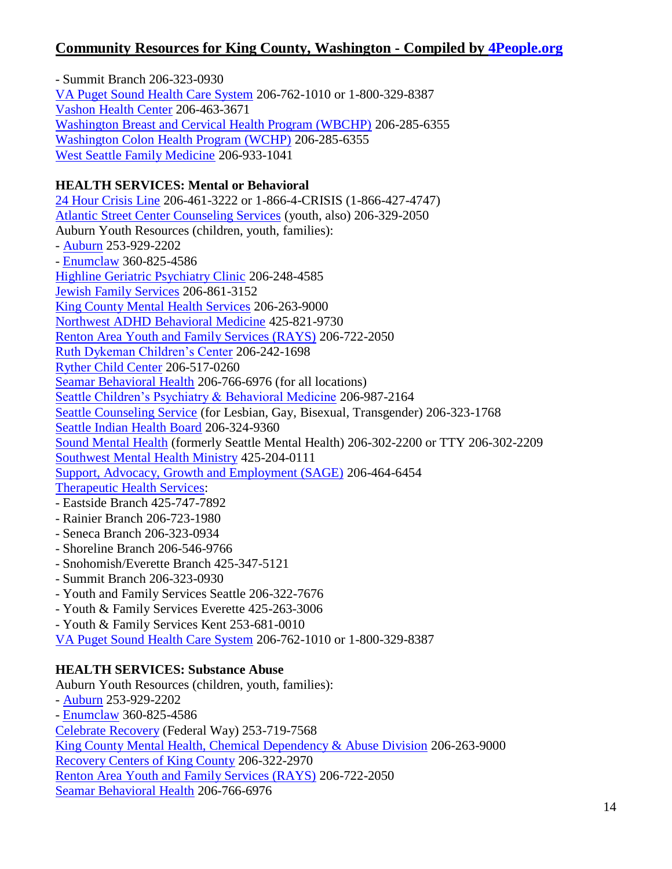- Summit Branch 206-323-0930 [VA Puget Sound Health Care System](http://www.pugetsound.va.gov/) 206-762-1010 or 1-800-329-8387 [Vashon Health Center](http://www.highlinemedicalcenter.org/highline_medical_group/services/vashon-health-center.htm) 206-463-3671 [Washington Breast and Cervical Health Program \(WBCHP\)](http://www.whf.org/Programs/WBCHP.aspx) 206-285-6355 [Washington Colon Health Program \(WCHP\)](http://www.whf.org/Programs/ColonHealth.aspx) 206-285-6355 [West Seattle Family Medicine](http://www.highlinemedicalcenter.org/highline_medical_group/services/west-seattle-family.htm) 206-933-1041

## **HEALTH SERVICES: Mental or Behavioral**

[24 Hour Crisis Line](http://www.crisisclinic.org/) 206-461-3222 or 1-866-4-CRISIS (1-866-427-4747) [Atlantic Street Center Counseling Services](http://www.atlanticstreet.org/programs/counseling-services-1) (youth, also) 206-329-2050 Auburn Youth Resources (children, youth, families): - [Auburn](http://www.ayr4kids.org/html/counseling.html) 253-929-2202 - [Enumclaw](http://www.ayr4kids.org/html/counseling1.html) 360-825-4586 [Highline Geriatric Psychiatry Clinic](http://www.highlinemedicalcenter.org/highline_medical_group/specialty-clinics/highline-geriatric-psychiatry.htm) 206-248-4585 [Jewish Family Services](http://www.jfsseattle.org/ycounsel.html) 206-861-3152 [King County Mental Health Services](http://www.kingcounty.gov/healthServices/mentalhealth.aspx) 206-263-9000 [Northwest ADHD Behavioral Medicine](http://www.nwabm.com/) 425-821-9730 [Renton Area Youth and Family Services \(RAYS\)](http://www.rays.org/) 206-722-2050 [Ruth Dykeman Children's Center](http://www.rdcc.org/) 206-242-1698 [Ryther Child Center](http://www.ryther.org/programsandservices/outpatientservices.htm) 206-517-0260 [Seamar Behavioral Health](http://www.seamar.org/service.php?xser=3) 206-766-6976 (for all locations) [Seattle Children's Psychiatry & Behavioral Medicine](http://www.seattlechildrens.org/clinics-programs/psychiatry-and-behavioral-medicine/) 206-987-2164 [Seattle Counseling Service](http://www.seattlecounseling.org/) (for Lesbian, Gay, Bisexual, Transgender) 206-323-1768 [Seattle Indian Health Board](http://www.sihb.org/) 206-324-9360 [Sound Mental Health](http://www.smh.org/) (formerly Seattle Mental Health) 206-302-2200 or TTY 206-302-2209 [Southwest Mental Health Ministry](http://www.thechurchcouncil.org/subpages/mental.html) 425-204-0111 [Support, Advocacy, Growth and Employment \(SAGE\)](http://www.desc.org/sage.html) 206-464-6454 [Therapeutic Health Services:](http://www.therapeutichealth.org/) - Eastside Branch 425-747-7892 - Rainier Branch 206-723-1980 - Seneca Branch 206-323-0934

- Shoreline Branch 206-546-9766
- Snohomish/Everette Branch 425-347-5121
- Summit Branch 206-323-0930
- Youth and Family Services Seattle 206-322-7676
- Youth & Family Services Everette 425-263-3006
- Youth & Family Services Kent 253-681-0010

[VA Puget Sound Health Care System](http://www.pugetsound.va.gov/) 206-762-1010 or 1-800-329-8387

### **HEALTH SERVICES: Substance Abuse**

Auburn Youth Resources (children, youth, families): - [Auburn](http://www.ayr4kids.org/html/counseling.html) 253-929-2202 - [Enumclaw](http://www.ayr4kids.org/html/counseling1.html) 360-825-4586 [Celebrate Recovery](http://www.federalwaynazarene.org/ministries/celebrate-recovery/index.html) (Federal Way) 253-719-7568 [King County Mental Health, Chemical Dependency & Abuse Division](http://www.kingcounty.gov/healthservices/SubstanceAbuse.aspx) 206-263-9000 [Recovery Centers of King County](http://www.rckc.org/) 206-322-2970 [Renton Area Youth and Family Services \(RAYS\)](http://www.rays.org/) 206-722-2050 [Seamar Behavioral Health](http://www.seamar.org/service.php?xser=3) 206-766-6976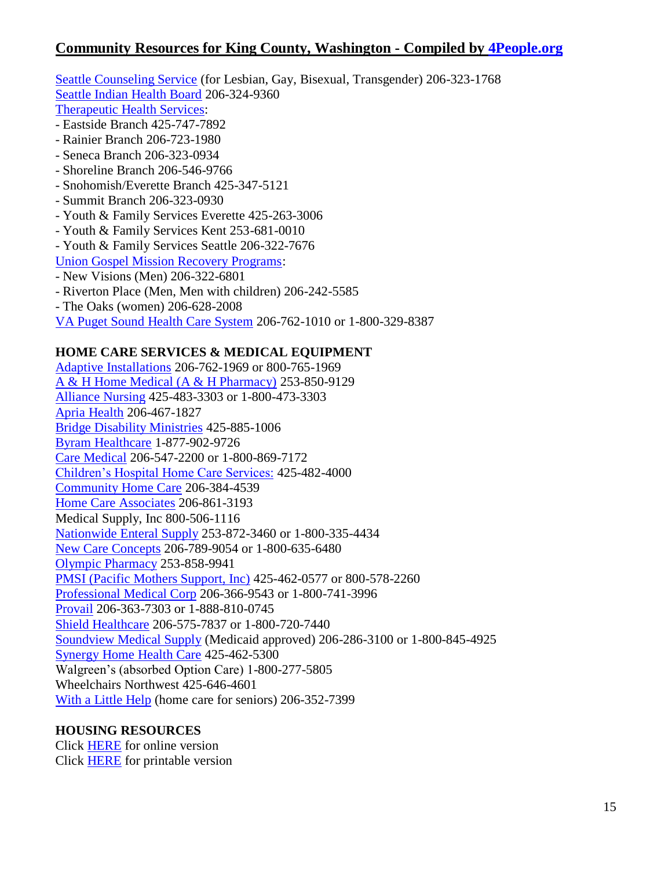[Seattle Counseling Service](http://www.seattlecounseling.org/AddictionServices.htm) (for Lesbian, Gay, Bisexual, Transgender) 206-323-1768 [Seattle Indian Health Board](http://www.sihb.org/) 206-324-9360 [Therapeutic Health Services:](http://www.therapeutichealth.org/)

- Eastside Branch 425-747-7892
- Rainier Branch 206-723-1980
- Seneca Branch 206-323-0934
- Shoreline Branch 206-546-9766
- Snohomish/Everette Branch 425-347-5121
- Summit Branch 206-323-0930
- Youth & Family Services Everette 425-263-3006
- Youth & Family Services Kent 253-681-0010
- Youth & Family Services Seattle 206-322-7676

[Union Gospel Mission Recovery Programs:](http://www.ugm.org/site/PageServer?pagename=programs_recovery)

- New Visions (Men) 206-322-6801
- Riverton Place (Men, Men with children) 206-242-5585
- The Oaks (women) 206-628-2008
- [VA Puget Sound Health Care System](http://www.pugetsound.va.gov/) 206-762-1010 or 1-800-329-8387

#### **HOME CARE SERVICES & MEDICAL EQUIPMENT**

[Adaptive Installations](http://www.adaptiveinstallations.com/index.html) 206-762-1969 or 800-765-1969 [A & H Home Medical \(A & H Pharmacy\)](http://www.ahstores.com/medical.html) 253-850-9129 [Alliance Nursing](http://www.alliancenursing.com/) 425-483-3303 or 1-800-473-3303 [Apria Health](http://www.apria.com/) 206-467-1827 [Bridge Disability Ministries](http://www.bridgemin.org/) 425-885-1006 [Byram Healthcare](http://www.byramhealthcare.com/) 1-877-902-9726 [Care Medical](http://www.caremedical.com/) 206-547-2200 or 1-800-869-7172 [Children's Hospital Home Care Services:](http://www.seattlechildrens.org/our_services/home_care_services/) 425-482-4000 [Community Home Care](http://www.community-home-care.com/) 206-384-4539 [Home Care Associates](http://www.homecareassoc.org/) 206-861-3193 Medical Supply, Inc 800-506-1116 [Nationwide Enteral Supply](http://www.nwenteral.com/) 253-872-3460 or 1-800-335-4434 [New Care Concepts](http://www.newcareinc.com/) 206-789-9054 or 1-800-635-6480 [Olympic Pharmacy](http://www.olympicpharmacy.com/) 253-858-9941 [PMSI \(Pacific Mothers Support, Inc\)](http://www.pacificmsi.com/) 425-462-0577 or 800-578-2260 [Professional Medical Corp](http://www.professionalmedicalcorp.com/) 206-366-9543 or 1-800-741-3996 [Provail](http://www.provail.org/) 206-363-7303 or 1-888-810-0745 [Shield Healthcare](http://www.shieldhealthcare.com/) 206-575-7837 or 1-800-720-7440 [Soundview Medical Supply](http://www.soundviewmed.com/default.aspx) (Medicaid approved) 206-286-3100 or 1-800-845-4925 [Synergy Home Health Care](http://www.synergyhomecare.com/) 425-462-5300 Walgreen's (absorbed Option Care) 1-800-277-5805 Wheelchairs Northwest 425-646-4601 [With a Little Help](http://www.withalittlehelp.com/) (home care for seniors) 206-352-7399

#### **HOUSING RESOURCES**

Click [HERE](http://www.4people.org/mobile/countydocs/kinghousinglist.html) for online version Click [HERE](http://www.4people.org/mobile/countydocs/kinghousinglist.pdf) for printable version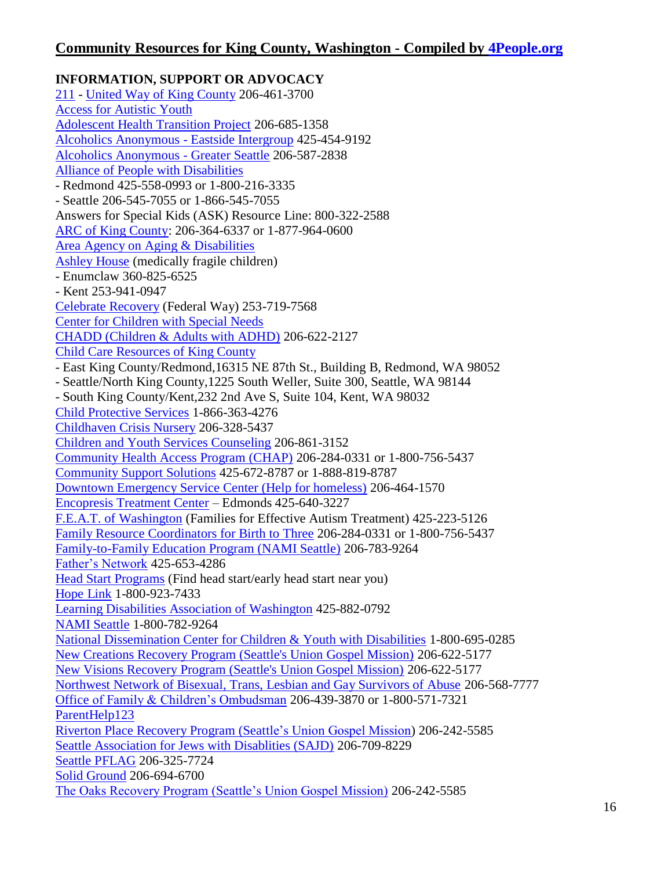**INFORMATION, SUPPORT OR ADVOCACY** [211](http://www.resourcehouse.com/win211/) - [United Way of King County](http://www.uwkc.org/) 206-461-3700 [Access for Autistic Youth](http://www.cultural.org/aay) [Adolescent Health Transition Project](http://depts.washington.edu/healthtr) 206-685-1358 [Alcoholics Anonymous -](http://www.eastsideintergroup.org/) Eastside Intergroup 425-454-9192 [Alcoholics Anonymous -](http://www.seattleaa.org/) Greater Seattle 206-587-2838 [Alliance of People with Disabilities](http://www.disabilitypride.org/) - Redmond 425-558-0993 or 1-800-216-3335 - Seattle 206-545-7055 or 1-866-545-7055 Answers for Special Kids (ASK) Resource Line: 800-322-2588 [ARC of King County:](http://www.arcofkingcounty.org/) 206-364-6337 or 1-877-964-0600 [Area Agency on Aging & Disabilities](http://www.agingkingcounty.org/) [Ashley House](http://www.ashleyhousekids.com/) (medically fragile children) - Enumclaw 360-825-6525 - Kent 253-941-0947 [Celebrate Recovery](http://www.federalwaynazarene.org/ministries/celebrate-recovery/index.html) (Federal Way) 253-719-7568 [Center for Children with Special Needs](http://www.cshcn.org/) [CHADD \(Children & Adults with ADHD\)](http://www.nwchadd.org/) 206-622-2127 [Child Care Resources of King County](http://www.childcare.org/) - East King County/Redmond,16315 NE 87th St., Building B, Redmond, WA 98052 - Seattle/North King County,1225 South Weller, Suite 300, Seattle, WA 98144 - South King County/Kent,232 2nd Ave S, Suite 104, Kent, WA 98032 [Child Protective Services](http://www.dshs.wa.gov/ca/safety/abuseReport.asp) 1-866-363-4276 [Childhaven Crisis Nursery](http://www.childhaven.org/) 206-328-5437 [Children and Youth Services Counseling](http://www.jfsseattle.org/ycounsel.html) 206-861-3152 [Community Health Access Program \(CHAP\)](http://www.whf.org/) 206-284-0331 or 1-800-756-5437 [Community Support Solutions](http://www.cssow.org/) 425-672-8787 or 1-888-819-8787 [Downtown Emergency Service Center \(Help for homeless\)](http://www.desc.org/) 206-464-1570 [Encopresis Treatment Center](http://encopresistreatment.com/) – Edmonds 425-640-3227 [F.E.A.T. of Washington](http://www.featwa.org/) (Families for Effective Autism Treatment) 425-223-5126 [Family Resource Coordinators for Birth to Three](http://www.kingcounty.gov/healthservices/DDD/services/babiesAndToddlers/frc.aspx) 206-284-0331 or 1-800-756-5437 [Family-to-Family Education Program \(NAMI Seattle\)](http://www.nami-greaterseattle.org/family) 206-783-9264 [Father's Network](http://www.fathersnetwork.org/) 425-653-4286 [Head Start Programs](http://www.wsaheadstarteceap.com/community_resources_ps.html) (Find head start/early head start near you) [Hope Link](http://www.hope-link.org/) 1-800-923-7433 [Learning Disabilities Association of Washington](http://www.ldawa.org/) 425-882-0792 [NAMI Seattle](http://www.nami-greaterseattle.org/) 1-800-782-9264 [National Dissemination Center for Children & Youth with Disabilities](http://www.nichcy.org/) 1-800-695-0285 [New Creations Recovery Program \(Seattle's Union Gospel Mission\)](http://www.ugm.org/site/PageServer?pagename=programs_recovery#NewCreations) 206-622-5177 [New Visions Recovery Program \(Seattle's Union Gospel Mission\)](http://www.ugm.org/site/PageServer?pagename=programs_recovery#NewCreations) 206-622-5177 [Northwest Network of Bisexual, Trans, Lesbian and Gay Survivors of Abuse](http://www.nwnetwork.org/) 206-568-7777 Office [of Family & Children's Ombudsman](http://www.governor.wa.gov/ofco/) 206-439-3870 or 1-800-571-7321 [ParentHelp123](http://www.parenthelp123.org/) [Riverton Place Recovery Program \(Seattle's Union Gospel Mission\)](http://www.ugm.org/site/PageServer?pagename=programs_recovery#Riverton) 206-242-5585 [Seattle Association for Jews with Disablities \(SAJD\)](http://www.jfsseattle.org/sajd.html) 206-709-8229 [Seattle PFLAG](http://www.facebook.com/seattlepflag?sk=info) 206-325-7724 [Solid Ground](http://www.solid-ground.org/) 206-694-6700 [The Oaks Recovery Program \(Seattle's Union Gospel Mission\)](http://www.ugm.org/site/PageServer?pagename=programs_recovery#The) 206-242-5585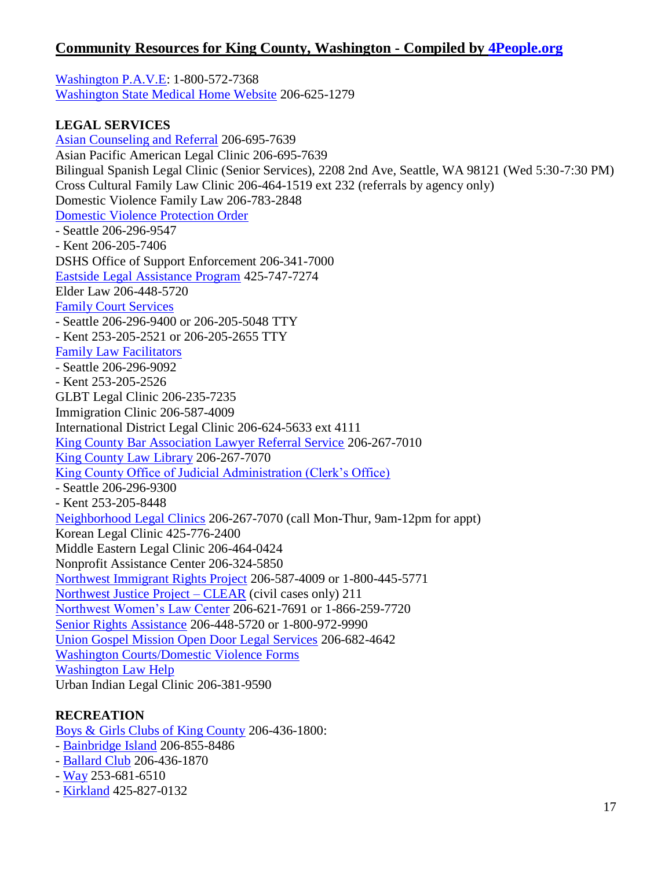[Washington P.A.V.E:](http://www.washingtonpave.org/) 1-800-572-7368 [Washington State Medical Home Website](http://www.medicalhome.org/) 206-625-1279

#### **LEGAL SERVICES**

[Asian Counseling and Referral](http://www.acrs.org/) 206-695-7639 Asian Pacific American Legal Clinic 206-695-7639 Bilingual Spanish Legal Clinic (Senior Services), 2208 2nd Ave, Seattle, WA 98121 (Wed 5:30-7:30 PM) Cross Cultural Family Law Clinic 206-464-1519 ext 232 (referrals by agency only) Domestic Violence Family Law 206-783-2848 [Domestic Violence Protection Order](http://www.protectionorder.org/) - Seattle 206-296-9547 - Kent 206-205-7406 DSHS Office of Support Enforcement 206-341-7000 [Eastside Legal Assistance Program](http://www.elap.org/) 425-747-7274 Elder Law 206-448-5720 [Family Court Services](http://www.kingcounty.gov/courts/Familycourt/services.aspx) - Seattle 206-296-9400 or 206-205-5048 TTY - Kent 253-205-2521 or 206-205-2655 TTY [Family Law Facilitators](http://www.kingcounty.gov/courts/FamilyCourt/facilitator.aspx) - Seattle 206-296-9092 - Kent 253-205-2526 GLBT Legal Clinic 206-235-7235 Immigration Clinic 206-587-4009 International District Legal Clinic 206-624-5633 ext 4111 [King County Bar Association Lawyer Referral Service](http://www.kcba.org/lrs/) 206-267-7010 [King County Law Library](http://www.kcll.org/) 206-267-7070 [King County Office of Judicial Administration \(Clerk's Office\)](http://www.kingcounty.gov/courts/clerk.aspx) - Seattle 206-296-9300 - Kent 253-205-8448 [Neighborhood Legal Clinics](http://www.kcba.org/pbs/NLC.aspx) 206-267-7070 (call Mon-Thur, 9am-12pm for appt) Korean Legal Clinic 425-776-2400 Middle Eastern Legal Clinic 206-464-0424 Nonprofit Assistance Center 206-324-5850 [Northwest Immigrant Rights Project](http://www.nwirp.org/) 206-587-4009 or 1-800-445-5771 [Northwest Justice Project –](http://www.nwjustice.org/about_njp/clear.html) CLEAR (civil cases only) 211 [Northwest Women's Law Center](http://www.nwwlc.org/) 206-621-7691 or 1-866-259-7720 [Senior Rights Assistance](http://www.seniorservices.org/getting_assistance/all_programs/senior_rights_assistance.aspx) 206-448-5720 or 1-800-972-9990 [Union Gospel Mission Open Door Legal Services](http://www.ugm.org/site/PageServer?pagename=programs_legal) 206-682-4642 [Washington Courts/Domestic Violence Forms](http://www.courts.wa.gov/forms/?fa=forms.contribute&formID=16) [Washington Law Help](http://www.washingtonlawhelp.org/) Urban Indian Legal Clinic 206-381-9590

### **RECREATION**

[Boys & Girls Clubs of King County](http://www.positiveplace.org/) 206-436-1800:

- [Bainbridge Island](http://bi.positiveplace.org/) 206-855-8486
- [Ballard Club](http://www.ballard.positiveplace.org/) 206-436-1870
- [Way](http://fw.positiveplace.org/) 253-681-6510
- [Kirkland](http://kirkland.positiveplace.org/) 425-827-0132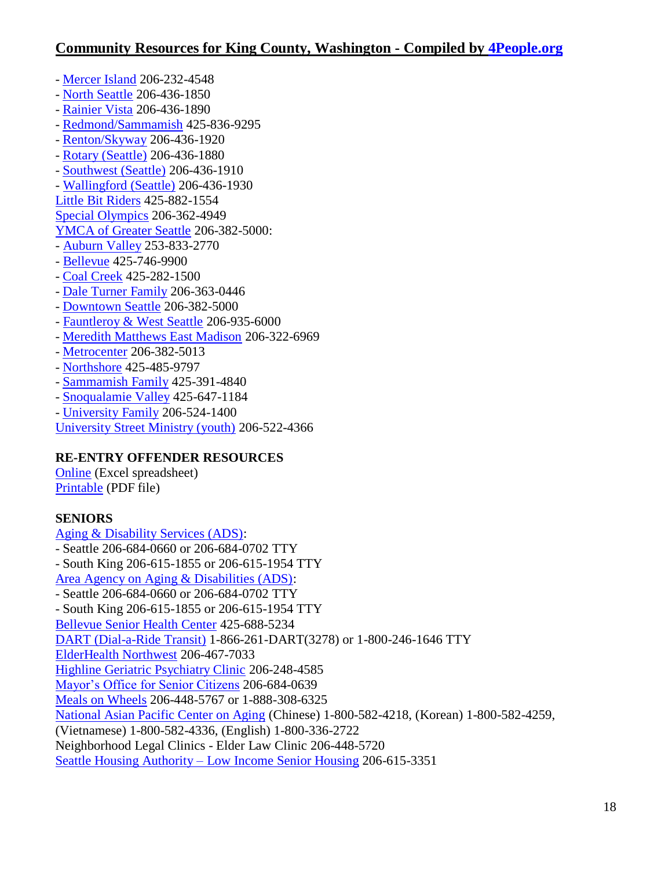- [Mercer Island](http://www.mi.positiveplace.org/) 206-232-4548
- [North Seattle](http://www.ns.positiveplace.org/) 206-436-1850
- [Rainier Vista](http://rv.positiveplace.org/) 206-436-1890
- [Redmond/Sammamish](http://rs.positiveplace.org/) 425-836-9295
- [Renton/Skyway](http://www.renway.positiveplace.org/) 206-436-1920
- [Rotary \(Seattle\)](http://www.rotary.positiveplace.org/) 206-436-1880
- [Southwest \(Seattle\)](http://sw.positiveplace.org/) 206-436-1910
- [Wallingford \(Seattle\)](http://www.wallingfordboysandgirlsclub.org/) 206-436-1930
- [Little Bit Riders](http://www.littlebit.org/) 425-882-1554
- [Special Olympics](http://www.specialolympicswashington.org/) 206-362-4949
- [YMCA of Greater Seattle](http://www.seattleymca.org/) 206-382-5000:
- [Auburn Valley](http://www.seattleymca.org/Locations/Auburn/Pages/Home.aspx) 253-833-2770
- [Bellevue](http://www.seattleymca.org/Locations/Bellevue/Pages/Home.aspx) 425-746-9900
- [Coal Creek](http://www.seattleymca.org/Locations/CoalCreek/pages/Home.aspx) 425-282-1500
- [Dale Turner Family](http://www.seattleymca.org/Locations/DaleTurner/pages/Home.aspx) 206-363-0446
- [Downtown Seattle](http://www.seattleymca.org/Locations/Downtown/pages/Home.aspx) 206-382-5000
- [Fauntleroy & West Seattle](http://www.seattleymca.org/Locations/WestSeattle/Pages/Home.aspx) 206-935-6000
- [Meredith Matthews East Madison](http://www.seattleymca.org/Locations/MeredithMathews/pages/Home.aspx) 206-322-6969
- [Metrocenter](http://www.seattleymca.org/Locations/Metrocenter/pages/Home.aspx) 206-382-5013
- [Northshore](http://www.seattleymca.org/Locations/Northshore/pages/Home.aspx) 425-485-9797
- [Sammamish Family](http://www.seattleymca.org/Locations/Sammamish/pages/Home.aspx) 425-391-4840
- [Snoqualamie Valley](http://www.seattleymca.org/Locations/Snoqualmie/Pages/Home.aspx) 425-647-1184
- [University Family](http://www.seattleymca.org/Locations/University/Pages/Home.aspx) 206-524-1400

[University Street Ministry \(youth\)](https://www.facebook.com/pages/University-Street-Ministry/117744248251432) 206-522-4366

### **RE-ENTRY OFFENDER RESOURCES**

[Online](http://www.4people.org/Reentry/KingTotal.xls) (Excel spreadsheet) [Printable](http://www.4people.org/Reentry/King.pdf) (PDF file)

### **SENIORS**

[Aging & Disability Services \(ADS\):](http://www.agingkingcounty.org/) - Seattle 206-684-0660 or 206-684-0702 TTY - South King 206-615-1855 or 206-615-1954 TTY [Area Agency on Aging & Disabilities \(ADS\):](http://www.agingkingcounty.org/) - Seattle 206-684-0660 or 206-684-0702 TTY - South King 206-615-1855 or 206-615-1954 TTY [Bellevue Senior Health Center](http://www.overlakehospital.org/services/senior-care/health-centers/bellevue/) 425-688-5234 [DART \(Dial-a-Ride Transit\)](http://metro.kingcounty.gov/tops/bus/dart/dartinfo.html) 1-866-261-DART(3278) or 1-800-246-1646 TTY [ElderHealth Northwest](http://www.elderhealth.org/) 206-467-7033 [Highline Geriatric Psychiatry Clinic](http://www.highlinemedicalcenter.org/highline_medical_group/services/highline-geriatric-psychiatry.htm) 206-248-4585 [Mayor's Office for Senior Citizens](http://www.seattle.gov/humanservices/seniorsdisabled/mosc/volunteer.htm) 206-684-0639 [Meals on Wheels](http://www.seniorservices.org/getting_assistance/all_programs/meals_on_wheels.aspx) 206-448-5767 or 1-888-308-6325 [National Asian Pacific Center on Aging](http://www.napca.org/) (Chinese) 1-800-582-4218, (Korean) 1-800-582-4259, (Vietnamese) 1-800-582-4336, (English) 1-800-336-2722 Neighborhood Legal Clinics - Elder Law Clinic 206-448-5720 Seattle Housing Authority – [Low Income Senior Housing](http://www.seattlehousing.org/housing/senior/) 206-615-3351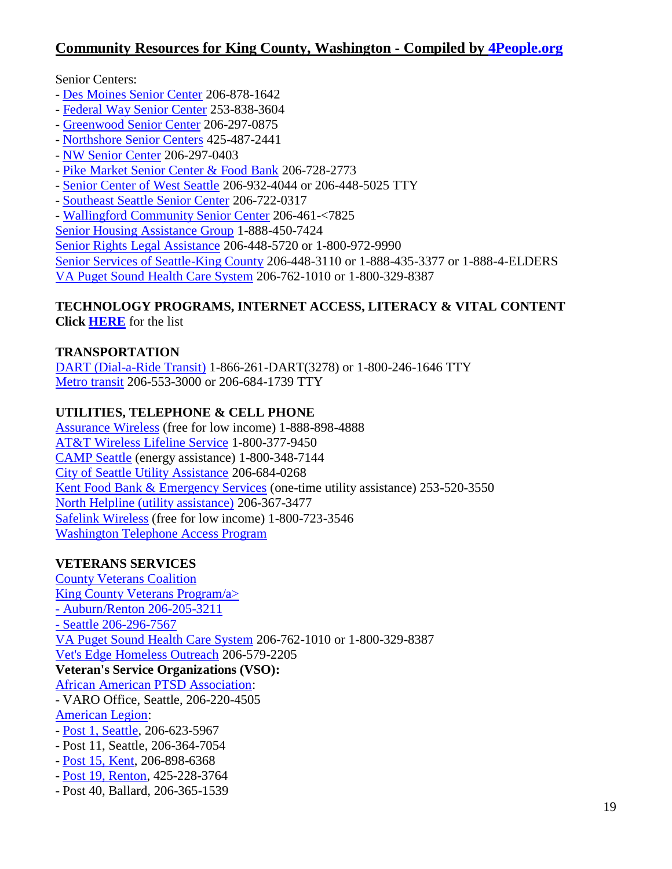#### Senior Centers:

- [Des Moines Senior Center](http://www.desmoineswa.gov/dept/senior/senior.html) 206-878-1642
- [Federal Way Senior Center](http://www.federalwayseniorcenter.org/) 253-838-3604
- [Greenwood Senior Center](http://www.greenwoodseniorcenter.org/) 206-297-0875
- [Northshore Senior Centers](http://www.northshoreseniorcenter.org/) 425-487-2441
- [NW Senior Center](http://www.nwseniorcenter.org/) 206-297-0403
- [Pike Market Senior Center & Food Bank](http://www.pikemarketseniorcenter.org/) 206-728-2773
- [Senior Center of West Seattle](http://www.sc-ws.org/) 206-932-4044 or 206-448-5025 TTY
- [Southeast Seattle Senior Center](http://www.southeastseattleseniorcenter.org/) 206-722-0317
- [Wallingford Community Senior Center](http://www.wallingfordseniors.org/) 206-461-<7825

[Senior Housing Assistance Group](http://www.housing4seniors.com/) 1-888-450-7424

[Senior Rights Legal Assistance](http://www.seniorservices.org/getting_assistance/all_programs/senior_rights_assistance.aspx) 206-448-5720 or 1-800-972-9990

[Senior Services of Seattle-King County](http://www.seniorservices.org/) 206-448-3110 or 1-888-435-3377 or 1-888-4-ELDERS [VA Puget Sound Health Care System](http://www.pugetsound.va.gov/) 206-762-1010 or 1-800-329-8387

#### **TECHNOLOGY PROGRAMS, INTERNET ACCESS, LITERACY & VITAL CONTENT Clic[k HERE](http://www.4people.org/mobile/countydocs/KingTechnology.html)** for the list

#### **TRANSPORTATION**

[DART \(Dial-a-Ride Transit\)](http://metro.kingcounty.gov/tops/bus/dart/dartinfo.html) 1-866-261-DART(3278) or 1-800-246-1646 TTY [Metro transit](http://transit.metrokc.gov/) 206-553-3000 or 206-684-1739 TTY

#### **UTILITIES, TELEPHONE & CELL PHONE**

[Assurance Wireless](http://www.assurancewireless.com/) (free for low income) 1-888-898-4888 [AT&T Wireless Lifeline Service](http://www.wireless.att.com/learn/articles-resources/community-support/lifeline-link-up.jsp) 1-800-377-9450 [CAMP Seattle](http://www.campseattle.org/) (energy assistance) 1-800-348-7144 [City of Seattle Utility Assistance](http://www.seattle.gov/humanservices/seniorsdisabled/mosc/utilassistance.htm) 206-684-0268 [Kent Food Bank & Emergency Services](http://www.skcfc.org/kentfoodbank/) (one-time utility assistance) 253-520-3550 [North Helpline \(utility assistance\)](http://www.northhelpline.org/) 206-367-3477 [Safelink Wireless](https://www.safelinkwireless.com/) (free for low income) 1-800-723-3546 [Washington Telephone Access Program](file:///C:/Users/Marilyn/Documents/4People/4People%20Website/Mobile/countydocs/âhttp:/www.dshs.wa.gov/wtap.shtmlâ)

#### **VETERANS SERVICES**

[County Veterans Coalition](http://www.cvcwashington.org/county/king.htm) [King County Veterans Program/a>](http://www.kingcounty.gov/socialservices/veterans.aspx)  - [Auburn/Renton 206-205-3211](http://www.kingcounty.gov/socialservices/veterans.aspx)  - [Seattle 206-296-7567](http://www.kingcounty.gov/socialservices/veterans.aspx)  [VA Puget Sound Health Care System](http://www.pugetsound.va.gov/) 206-762-1010 or 1-800-329-8387 [Vet's Edge Homeless Outreach](http://www.vetsedge.org/) 206-579-2205 **Veteran's Service Organizations (VSO):** [African American PTSD Association:](http://www.aaptsdassn.org/) - VARO Office, Seattle, 206-220-4505 [American Legion:](http://www.walegion.org/) - [Post 1, Seattle,](http://www.seattlewapost1.org/) 206-623-5967 - Post 11, Seattle, 206-364-7054

- [Post 15, Kent,](http://www.kentpost15.org/) 206-898-6368
- [Post 19, Renton,](http://wadistrict11.com/post19/index.htm) 425-228-3764
- Post 40, Ballard, 206-365-1539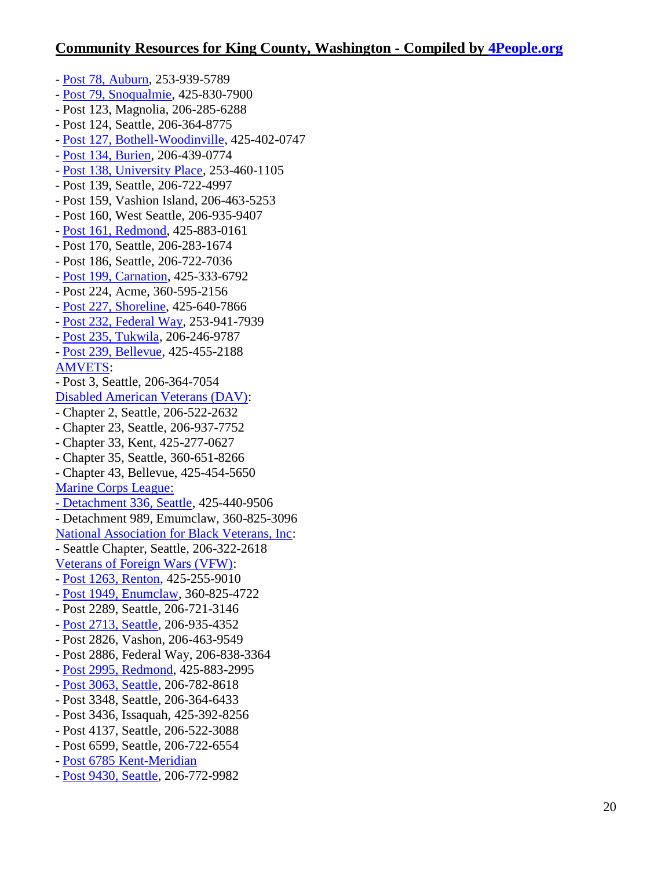- [Post 78, Auburn,](http://wadistrict11.com/post78/Index.htm) 253-939-5789 - [Post 79, Snoqualmie,](http://post79.org/) 425-830-7900 - Post 123, Magnolia, 206-285-6288 - Post 124, Seattle, 206-364-8775 - [Post 127, Bothell-Woodinville,](http://bothelllegion.org/) 425-402-0747 - [Post 134, Burien,](http://wadistrict11.com/post134/Index.htm) 206-439-0774 - [Post 138, University Place,](http://walegion138.org/) 253-460-1105 - Post 139, Seattle, 206-722-4997 - Post 159, Vashion Island, 206-463-5253 - Post 160, West Seattle, 206-935-9407 - [Post 161, Redmond,](http://www.post161.org/) 425-883-0161 - Post 170, Seattle, 206-283-1674 - Post 186, Seattle, 206-722-7036 - [Post 199, Carnation,](http://wadistrict11.com/post199/Index.htm) 425-333-6792 - Post 224, Acme, 360-595-2156 - [Post 227, Shoreline,](http://wadistrict11.com/post227/Index.htm) 425-640-7866 - [Post 232, Federal Way,](http://wadistrict11.com/post232/Index.htm) 253-941-7939 - [Post 235, Tukwila,](http://wadistrict11.com/post235/Index.htm) 206-246-9787 - [Post 239, Bellevue,](http://wadistrict11.com/post239/Index.htm) 425-455-2188 [AMVETS:](http://amvetswa.org/) - Post 3, Seattle, 206-364-7054 [Disabled American Veterans \(DAV\):](http://www.dav.org/) - Chapter 2, Seattle, 206-522-2632 - Chapter 23, Seattle, 206-937-7752 - Chapter 33, Kent, 425-277-0627 - Chapter 35, Seattle, 360-651-8266 - Chapter 43, Bellevue, 425-454-5650 [Marine Corps League:](http://www.mcleague.org/)  [-](http://www.mcleague.org/) [Detachment 336, Seattle,](http://www.seattlemarines.org/) 425-440-9506 - Detachment 989, Emumclaw, 360-825-3096 [National Association for Black Veterans, Inc:](http://www.nabvets.com/) - Seattle Chapter, Seattle, 206-322-2618 [Veterans of Foreign Wars \(VFW\):](http://www.vfwofwa.org/) - [Post 1263, Renton,](http://www.vfw1263.com/) 425-255-9010 - [Post 1949, Enumclaw,](https://www.facebook.com/VFW1949) 360-825-4722 - Post 2289, Seattle, 206-721-3146 - [Post 2713, Seattle,](http://vfwpost2713.wordpress.com/) 206-935-4352 - Post 2826, Vashon, 206-463-9549 - Post 2886, Federal Way, 206-838-3364 - [Post 2995, Redmond,](http://www.vfwpost-2995.org/) 425-883-2995 - [Post 3063, Seattle,](http://vfwseattle.com/wp/) 206-782-8618 - Post 3348, Seattle, 206-364-6433 - Post 3436, Issaquah, 425-392-8256 - Post 4137, Seattle, 206-522-3088 - Post 6599, Seattle, 206-722-6554 - [Post 6785 Kent-Meridian](http://kentvfw.org/) - [Post 9430, Seattle,](http://www.vfwskyway.org/) 206-772-9982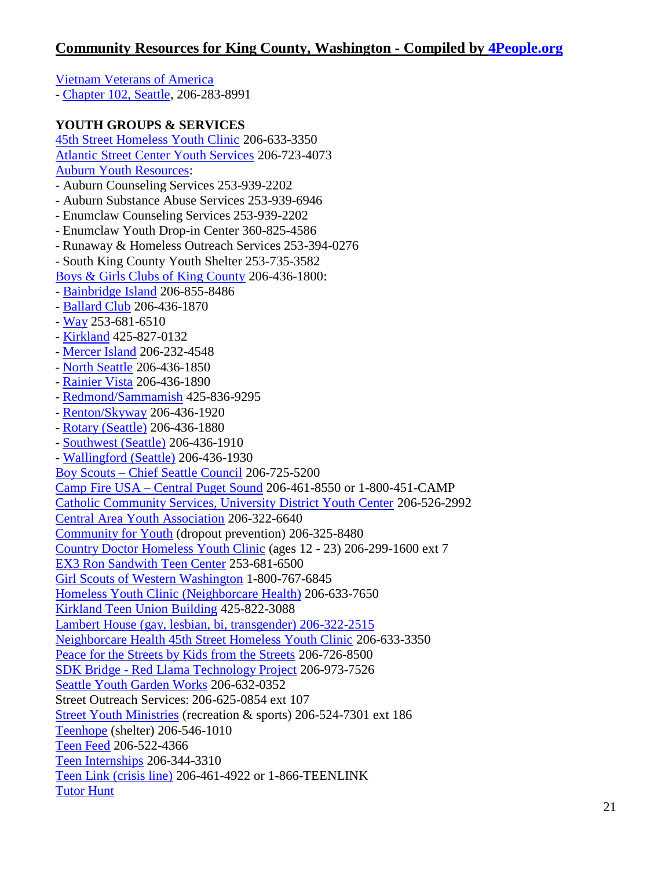[Vietnam Veterans of America](http://www.wavva.org/) - [Chapter 102, Seattle,](http://www.vva102.org/) 206-283-8991 **YOUTH GROUPS & SERVICES** [45th Street Homeless Youth Clinic](http://www.neighborcare.org/clinics/45th-street-medical-dental-clinic) 206-633-3350 [Atlantic Street Center Youth Services](http://www.atlanticstreet.org/programs/youth-devevelopment-program) 206-723-4073 [Auburn Youth Resources:](http://www.ayr4kids.org/) - Auburn Counseling Services 253-939-2202 - Auburn Substance Abuse Services 253-939-6946 - Enumclaw Counseling Services 253-939-2202 - Enumclaw Youth Drop-in Center 360-825-4586 - Runaway & Homeless Outreach Services 253-394-0276 - South King County Youth Shelter 253-735-3582 [Boys & Girls Clubs of King County](http://www.positiveplace.org/) 206-436-1800: - [Bainbridge Island](http://bi.positiveplace.org/) 206-855-8486 - [Ballard Club](http://www.ballard.positiveplace.org/) 206-436-1870 - [Way](http://fw.positiveplace.org/) 253-681-6510 - [Kirkland](http://kirkland.positiveplace.org/) 425-827-0132 - [Mercer Island](http://www.mi.positiveplace.org/) 206-232-4548 - [North Seattle](http://www.ns.positiveplace.org/) 206-436-1850 - [Rainier Vista](http://rv.positiveplace.org/) 206-436-1890 - [Redmond/Sammamish](http://rs.positiveplace.org/) 425-836-9295 - [Renton/Skyway](http://www.renway.positiveplace.org/) 206-436-1920 - [Rotary \(Seattle\)](http://www.rotary.positiveplace.org/) 206-436-1880 - [Southwest \(Seattle\)](http://sw.positiveplace.org/) 206-436-1910 - [Wallingford \(Seattle\)](http://www.wallingfordboysandgirlsclub.org/) 206-436-1930 Boy Scouts – [Chief Seattle Council](http://www.seattlebsa.org/) 206-725-5200 Camp Fire USA – [Central Puget Sound](http://www.campfire-usa.org/) 206-461-8550 or 1-800-451-CAMP [Catholic Community Services, University District Youth Center](http://www.ccsww.org/site/PageServer?pagename=homeless_udyc) 206-526-2992 [Central Area Youth Association](http://www.seattle-caya.org/) 206-322-6640 [Community for Youth](http://www.communityforyouth.org/) (dropout prevention) 206-325-8480 [Country Doctor Homeless Youth Clinic](http://www.kingcounty.gov/healthservices/health/personal/HCHN/services.aspx) (ages 12 - 23) 206-299-1600 ext 7 [EX3 Ron Sandwith Teen Center](http://www.ex3live.com/) 253-681-6500 [Girl Scouts of Western Washington](http://www.girlscoutsww.org/) 1-800-767-6845 [Homeless Youth Clinic \(Neighborcare Health\)](http://www.neighborcare.org/programs/homeless-youth-clinic) 206-633-7650 [Kirkland Teen Union Building](http://www.ktub.org/) 425-822-3088 [Lambert House \(gay, lesbian, bi, transgender\) 206-322-2515](http://www.lamberthouse.org/)  [Neighborcare Health 45th Street Homeless Youth Clinic](http://www.neighborcare.org/clinics/45th-street-medical-dental-clinic) 206-633-3350 [Peace for the Streets by Kids from the Streets](http://www.psks.org/) 206-726-8500 SDK Bridge - [Red Llama Technology Project](http://sdkbridge.com/youth.html) 206-973-7526 [Seattle Youth Garden Works](http://www.sygw.org/) 206-632-0352 Street Outreach Services: 206-625-0854 ext 107 [Street Youth Ministries](http://www.streetyouthministries.org/) (recreation & sports) 206-524-7301 ext 186 [Teenhope](http://www.shorelineschools.org/resources/CRT_Webpage/Pages/Teenhope.html) (shelter) 206-546-1010 [Teen Feed](http://www.teenfeed.org/) 206-522-4366 [Teen Internships](http://www.teenjobs.org/) 206-344-3310 [Teen Link \(crisis line\)](http://www.866teenlink.org/) 206-461-4922 or 1-866-TEENLINK [Tutor Hunt](http://www.tutorhunt.com/)